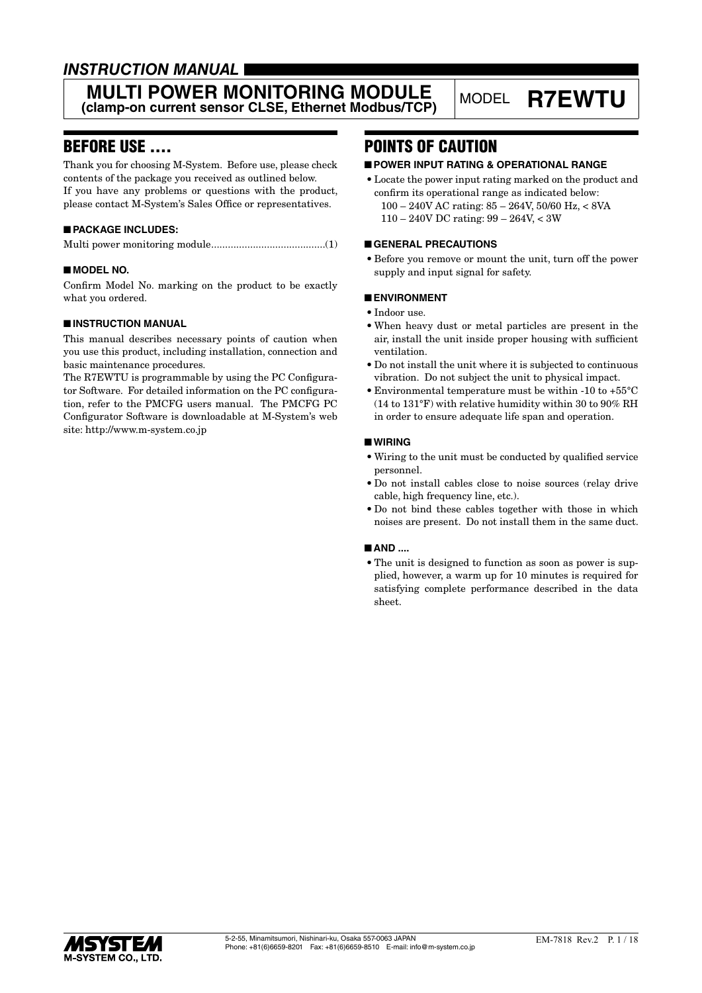# *INSTRUCTION MANUAL*

### **MULTI POWER MONITORING MODULE MULTI POWER MONITORING MODULE** MODEL **R7EWTU**<br>(clamp-on current sensor CLSE, Ethernet Modbus/TCP)

# BEFORE USE ....

Thank you for choosing M-System. Before use, please check contents of the package you received as outlined below. If you have any problems or questions with the product, please contact M-System's Sales Office or representatives.

#### ■ **PACKAGE INCLUDES:**

Multi power monitoring module.........................................(1)

#### ■ **MODEL NO.**

Confirm Model No. marking on the product to be exactly what you ordered.

#### ■ **INSTRUCTION MANUAL**

This manual describes necessary points of caution when you use this product, including installation, connection and basic maintenance procedures.

The R7EWTU is programmable by using the PC Configurator Software. For detailed information on the PC configuration, refer to the PMCFG users manual. The PMCFG PC Configurator Software is downloadable at M-System's web site: http://www.m-system.co.jp

# POINTS OF CAUTION

#### ■ **POWER INPUT RATING & OPERATIONAL RANGE**

• Locate the power input rating marked on the product and confirm its operational range as indicated below: 100 – 240V AC rating: 85 – 264V, 50/60 Hz, < 8VA 110 – 240V DC rating: 99 – 264V, < 3W

#### ■ **GENERAL PRECAUTIONS**

• Before you remove or mount the unit, turn off the power supply and input signal for safety.

#### ■ **ENVIRONMENT**

- Indoor use.
- • When heavy dust or metal particles are present in the air, install the unit inside proper housing with sufficient ventilation.
- Do not install the unit where it is subjected to continuous vibration. Do not subject the unit to physical impact.
- Environmental temperature must be within -10 to  $+55^{\circ}$ C (14 to 131°F) with relative humidity within 30 to 90% RH in order to ensure adequate life span and operation.

#### ■ **WIRING**

- • Wiring to the unit must be conducted by qualified service personnel.
- • Do not install cables close to noise sources (relay drive cable, high frequency line, etc.).
- • Do not bind these cables together with those in which noises are present. Do not install them in the same duct.

#### ■ **AND** ....

• The unit is designed to function as soon as power is supplied, however, a warm up for 10 minutes is required for satisfying complete performance described in the data sheet.

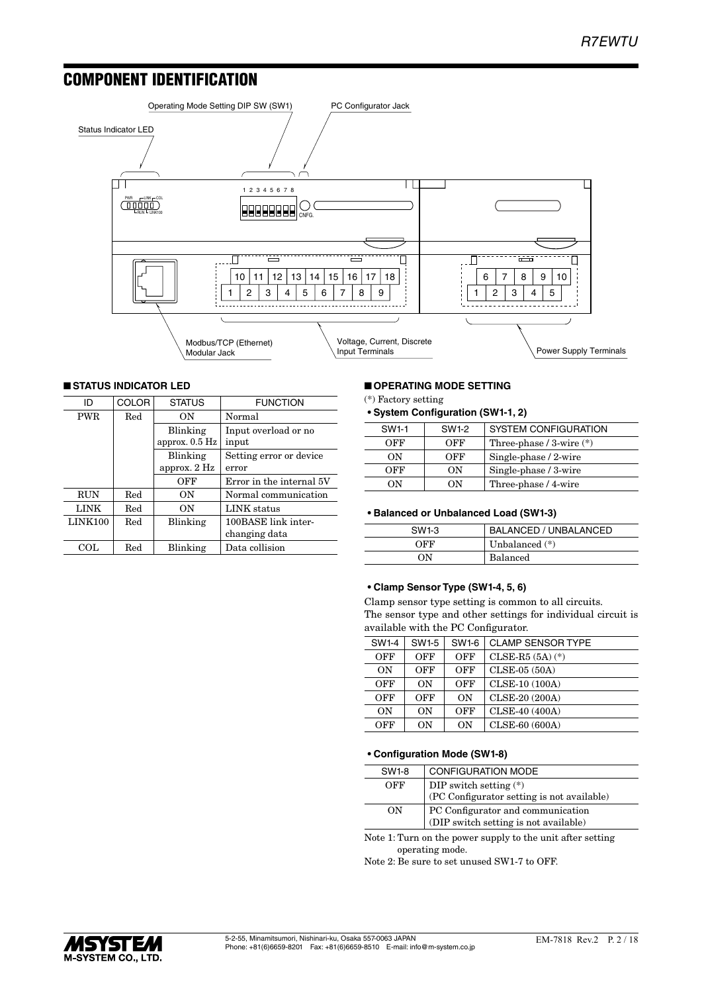# COMPONENT IDENTIFICATION



### ■ **STATUS INDICATOR LED**

| ID         | <b>COLOR</b> | <b>STATUS</b>    | <b>FUNCTION</b>          |  |  |  |  |
|------------|--------------|------------------|--------------------------|--|--|--|--|
| <b>PWR</b> | Red          | ON               | Normal                   |  |  |  |  |
|            |              | Blinking         | Input overload or no     |  |  |  |  |
|            |              | approx. $0.5$ Hz | input                    |  |  |  |  |
|            |              | Blinking         | Setting error or device  |  |  |  |  |
|            |              | approx. $2$ Hz   | error                    |  |  |  |  |
|            |              | OFF              | Error in the internal 5V |  |  |  |  |
| <b>RUN</b> | Red          | ON               | Normal communication     |  |  |  |  |
| LINK       | Red          | ON               | LINK status              |  |  |  |  |
| LINK100    | Red          | Blinking         | 100BASE link inter-      |  |  |  |  |
|            |              |                  | changing data            |  |  |  |  |
| COL.       | Red          | Blinking         | Data collision           |  |  |  |  |

#### ■ **OPERATING MODE SETTING**

(\*) Factory setting

| • System Configuration (SW1-1, 2) |  |
|-----------------------------------|--|
|-----------------------------------|--|

| SW1-1 | SW1-2 | <b>SYSTEM CONFIGURATION</b>  |
|-------|-------|------------------------------|
| OFF   | OFF   | Three-phase $/$ 3-wire $(*)$ |
| OΝ    | OFF   | Single-phase / 2-wire        |
| OFF   | OΝ    | Single-phase / 3-wire        |
| OΝ    | n     | Three-phase / 4-wire         |

#### **• Balanced or Unbalanced Load (SW1-3)**

| SW1-3 | BALANCED / UNBALANCED |
|-------|-----------------------|
| OFF   | Unbalanced $(*)$      |
| NΩ    | <b>Balanced</b>       |

#### **• Clamp Sensor Type (SW1-4, 5, 6)**

Clamp sensor type setting is common to all circuits. The sensor type and other settings for individual circuit is available with the PC Configurator.

| SW1-4 | <b>SW1-5</b> | SW1-6 | <b>CLAMP SENSOR TYPE</b> |
|-------|--------------|-------|--------------------------|
| OFF   | OFF          | OFF   | $CLSE-R5 (5A) (*)$       |
| ON    | OFF          | OFF   | $CLSE-05(50A)$           |
| OFF   | ON           | OFF   | CLSE-10 (100A)           |
| OFF   | OFF          | ON    | CLSE-20 (200A)           |
| ON    | ON           | OFF   | CLSE-40 (400A)           |
| OFF   | OΝ           | ON    | CLSE-60 (600A)           |

#### **• Configuration Mode (SW1-8)**

| SW1-8 | <b>CONFIGURATION MODE</b>                  |
|-------|--------------------------------------------|
| OFF   | DIP switch setting $(*)$                   |
|       | (PC Configurator setting is not available) |
| OΝ    | PC Configurator and communication          |
|       | (DIP switch setting is not available)      |

Note 1: Turn on the power supply to the unit after setting operating mode.

Note 2: Be sure to set unused SW1-7 to OFF.

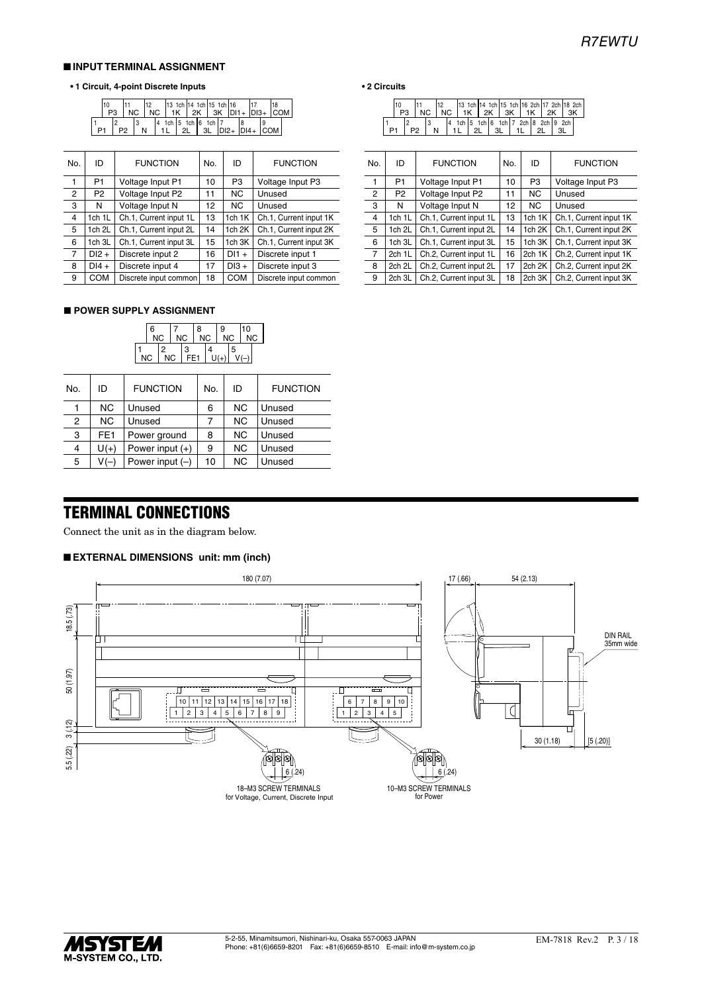#### ■ **INPUT TERMINAL ASSIGNMENT**

#### **• 1 Circuit, 4-point Discrete Inputs**

|  | 10<br>P3 | NC. | <b>NC</b> |    |     |    |    | 13 1ch 14 1ch 15 1ch 16 |        |                     | $2K$ 3K $ D11 +  D13 +  COM $ |                  |  |
|--|----------|-----|-----------|----|-----|----|----|-------------------------|--------|---------------------|-------------------------------|------------------|--|
|  |          |     |           | 14 | 1ch | 21 | 3L | $5$ 1ch 6 1ch           | $DI2+$ | $\overline{1}$ DI4+ |                               | COM <sup>1</sup> |  |

| No. | ID             | <b>FUNCTION</b>        | No. | ID             | <b>FUNCTION</b>        | No. | ID             | <b>FUNCTION</b>        | No. | ID             | <b>FUNCTION</b>    |
|-----|----------------|------------------------|-----|----------------|------------------------|-----|----------------|------------------------|-----|----------------|--------------------|
|     | P <sub>1</sub> | Voltage Input P1       | 10  | P <sub>3</sub> | Voltage Input P3       |     | P <sub>1</sub> | Voltage Input P1       | 10  | P <sub>3</sub> | Voltage Input P3   |
| 2   | P <sub>2</sub> | Voltage Input P2       | 11  | NC.            | Unused                 | 2   | P <sub>2</sub> | Voltage Input P2       | 11  | <b>NC</b>      | Unused             |
| з   | N              | Voltage Input N        | 12  | NC.            | Unused                 | 3   | N              | Voltage Input N        | 12  | <b>NC</b>      | Unused             |
| 4   | 1ch 1L         | Ch.1, Current input 1L | 13  | 1 $ch$ 1 $K$   | Ch.1, Current input 1K | 4   | 1ch 1L         | Ch.1, Current input 1L | 13  | 1 $ch$ 1K $ $  | Ch.1, Current inpu |
| 5   | 1ch 2L         | Ch.1, Current input 2L | 14  | 1ch 2K         | Ch.1, Current input 2K | 5   | 1ch 2L         | Ch.1, Current input 2L | 14  | 1ch $2K$       | Ch.1, Current inpu |
| 6   | 1ch 3L         | Ch.1, Current input 3L | 15  | 1ch 3K         | Ch.1, Current input 3K | 6   | 1ch 3L         | Ch.1, Current input 3L | 15  | 1 $ch$ 3K $ $  | Ch.1, Current inpu |
|     | $DI2 +$        | Discrete input 2       | 16  | $D11 +$        | Discrete input 1       |     | 2ch 1L         | Ch.2, Current input 1L | 16  | 2ch 1K         | Ch.2, Current inpu |
| 8   | $DI4 +$        | Discrete input 4       | 17  | $D13 +$        | Discrete input 3       | 8   | 2ch 2L         | Ch.2, Current input 2L | 17  | 2ch 2K         | Ch.2, Current inpu |
| 9   | <b>COM</b>     | Discrete input common  | 18  | <b>COM</b>     | Discrete input common  | 9   | 2ch 3L         | Ch.2. Current input 3L | 18  | 2ch 3K         | Ch.2, Current inpu |

#### ■ **POWER SUPPLY ASSIGNMENT**

| 6<br><b>NC</b> |  |                | <b>NC</b> |                      | 8<br><b>NC</b> |  | 9<br><b>NC</b> |   | 10<br><b>NC</b> |  |
|----------------|--|----------------|-----------|----------------------|----------------|--|----------------|---|-----------------|--|
| <b>NC</b>      |  | 2<br><b>NC</b> |           | 3<br>FE <sub>1</sub> |                |  | $U(+)$         | 5 |                 |  |

| No. | ID              | <b>FUNCTION</b>   | No. | ID        | <b>FUNCTION</b> |
|-----|-----------------|-------------------|-----|-----------|-----------------|
|     | <b>NC</b>       | Unused            | 6   | <b>NC</b> | Unused          |
| 2   | <b>NC</b>       | Unused            |     | <b>NC</b> | Unused          |
| 3   | FE <sub>1</sub> | Power ground      | 8   | <b>NC</b> | Unused          |
| 4   | $U(+)$          | Power input $(+)$ | 9   | <b>NC</b> | Unused          |
| 5   | $V(-)$          | Power input $(-)$ | 10  | <b>NC</b> | Unused          |
|     |                 |                   |     |           |                 |

#### **• 2 Circuits**

|  |  | NC. |  | 13 1ch 14 1ch 15 1ch 16 2ch 17 2ch 18 2ch<br>INC I1K I2K I3K I1K I2K I3K |    |    |  |  |  |  |
|--|--|-----|--|--------------------------------------------------------------------------|----|----|--|--|--|--|
|  |  | N   |  | 4 1ch 5 1ch 6 1ch 7 2ch 8 2ch 9 2ch                                      | 21 | 31 |  |  |  |  |

| No.            | ID             | <b>FUNCTION</b>        | No. | ID             | <b>FUNCTION</b>        |
|----------------|----------------|------------------------|-----|----------------|------------------------|
| 1              | P <sub>1</sub> | Voltage Input P1       | 10  | P <sub>3</sub> | Voltage Input P3       |
| 2              | P <sub>2</sub> | Voltage Input P2       | 11  | <b>NC</b>      | Unused                 |
| 3              | N              | Voltage Input N        | 12  | NC.            | Unused                 |
| $\overline{4}$ | 1ch 1L         | Ch.1, Current input 1L | 13  | 1ch 1K         | Ch.1, Current input 1K |
| 5              | 1ch 2L         | Ch.1, Current input 2L | 14  | 1ch 2K         | Ch.1, Current input 2K |
| 6              | 1ch 3L         | Ch.1, Current input 3L | 15  | 1ch 3K         | Ch.1, Current input 3K |
| $\overline{7}$ | 2ch 1L         | Ch.2, Current input 1L | 16  | 2ch 1K         | Ch.2, Current input 1K |
| 8              | 2ch 2L         | Ch.2, Current input 2L | 17  | 2ch 2K         | Ch.2, Current input 2K |
| 9              | 2ch 3L         | Ch.2, Current input 3L | 18  | 2ch 3K         | Ch.2, Current input 3K |

# TERMINAL CONNECTIONS

Connect the unit as in the diagram below.

#### ■ **EXTERNAL DIMENSIONS unit: mm (inch)**



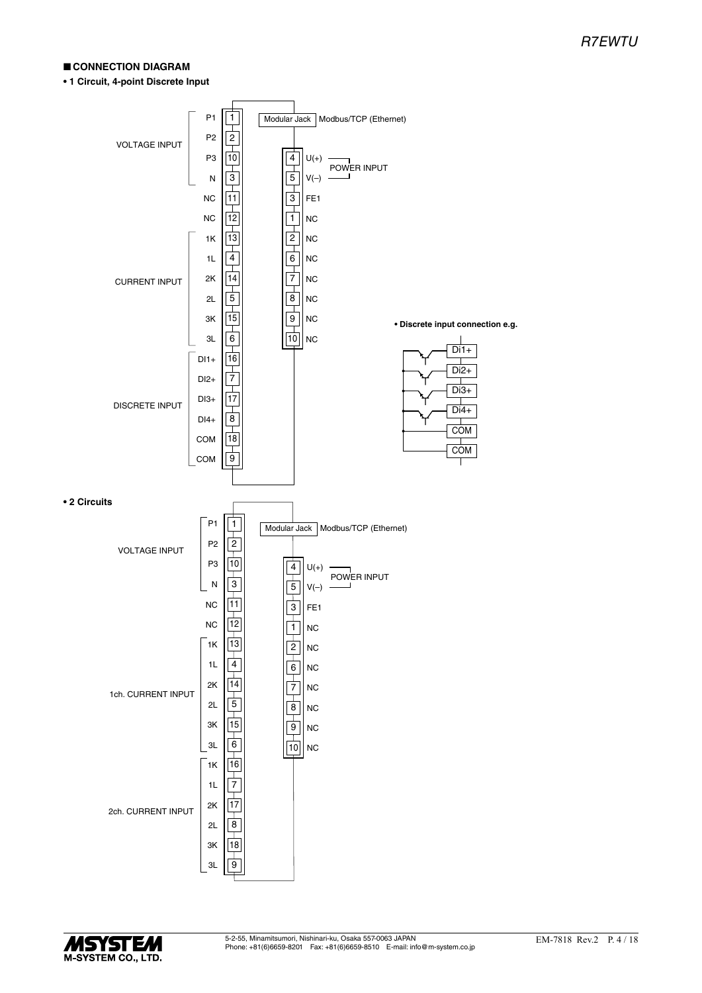#### ■ **CONNECTION DIAGRAM**

**• 1 Circuit, 4-point Discrete Input**



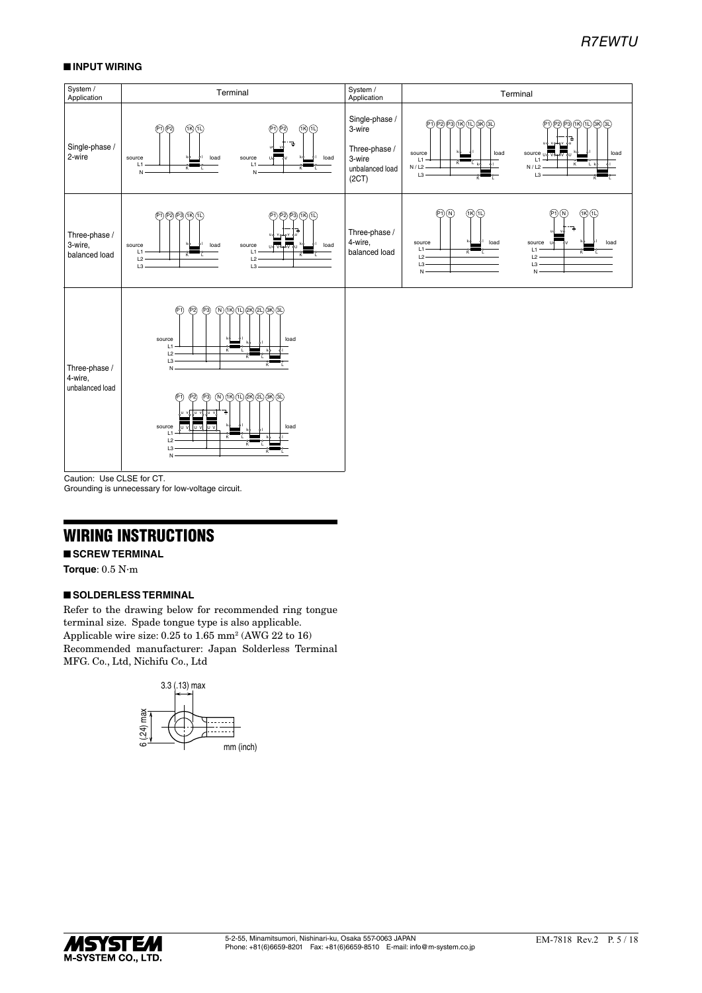#### ■ **INPUT WIRING**



Caution: Use CLSE for CT.

Grounding is unnecessary for low-voltage circuit.

### WIRING INSTRUCTIONS

#### ■ **SCREW TERMINAL**

**Torque**: 0.5 N·m

#### ■ **SOLDERLESS TERMINAL**

Refer to the drawing below for recommended ring tongue terminal size. Spade tongue type is also applicable. Applicable wire size: 0.25 to 1.65 mm<sup>2</sup> (AWG 22 to 16) Recommended manufacturer: Japan Solderless Terminal MFG. Co., Ltd, Nichifu Co., Ltd



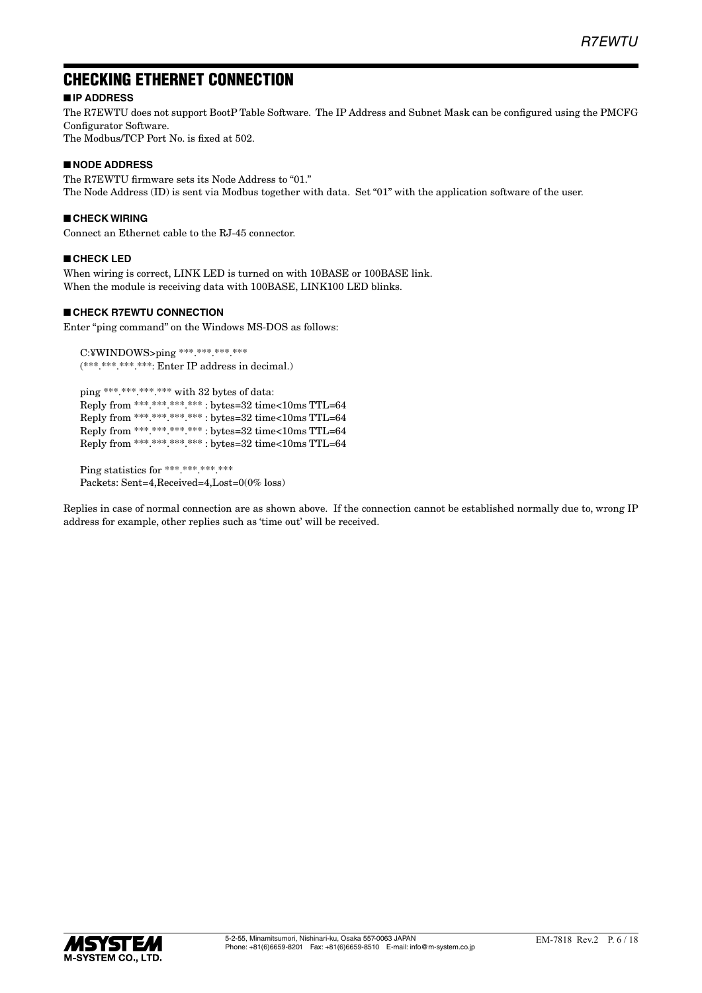# CHECKING ETHERNET CONNECTION

### ■ **IP ADDRESS**

The R7EWTU does not support BootP Table Software. The IP Address and Subnet Mask can be configured using the PMCFG Configurator Software.

The Modbus/TCP Port No. is fixed at 502.

#### ■ **NODE ADDRESS**

The R7EWTU firmware sets its Node Address to "01." The Node Address (ID) is sent via Modbus together with data. Set "01" with the application software of the user.

#### ■ **CHECK WIRING**

Connect an Ethernet cable to the RJ-45 connector.

#### ■ **CHECK LED**

When wiring is correct, LINK LED is turned on with 10BASE or 100BASE link. When the module is receiving data with 100BASE, LINK100 LED blinks.

#### ■ **CHECK R7EWTU CONNECTION**

Enter "ping command" on the Windows MS-DOS as follows:

C:¥WINDOWS>ping \*\*\*.\*\*\*.\*\*\*.\*\*\*  $(********.***.$  Enter IP address in decimal.)

ping \*\*\*.\*\*\*.\*\*\*.\*\*\* with 32 bytes of data: Reply from \*\*\*.\*\*\*.\*\*\*.\*\*\* : bytes=32 time<10ms TTL=64 Reply from \*\*\*.\*\*\*.\*\*\*.\*\*\* : bytes=32 time<10ms TTL=64 Reply from \*\*\*.\*\*\*.\*\*\*.\*\*\* : bytes=32 time<10ms TTL=64 Reply from \*\*\*.\*\*\*.\*\*\*.\*\*\* : bytes=32 time<10ms TTL=64

Ping statistics for \*\*\*.\*\*\*.\*\*\*.\*\*\* Packets: Sent=4,Received=4,Lost=0(0% loss)

Replies in case of normal connection are as shown above. If the connection cannot be established normally due to, wrong IP address for example, other replies such as 'time out' will be received.

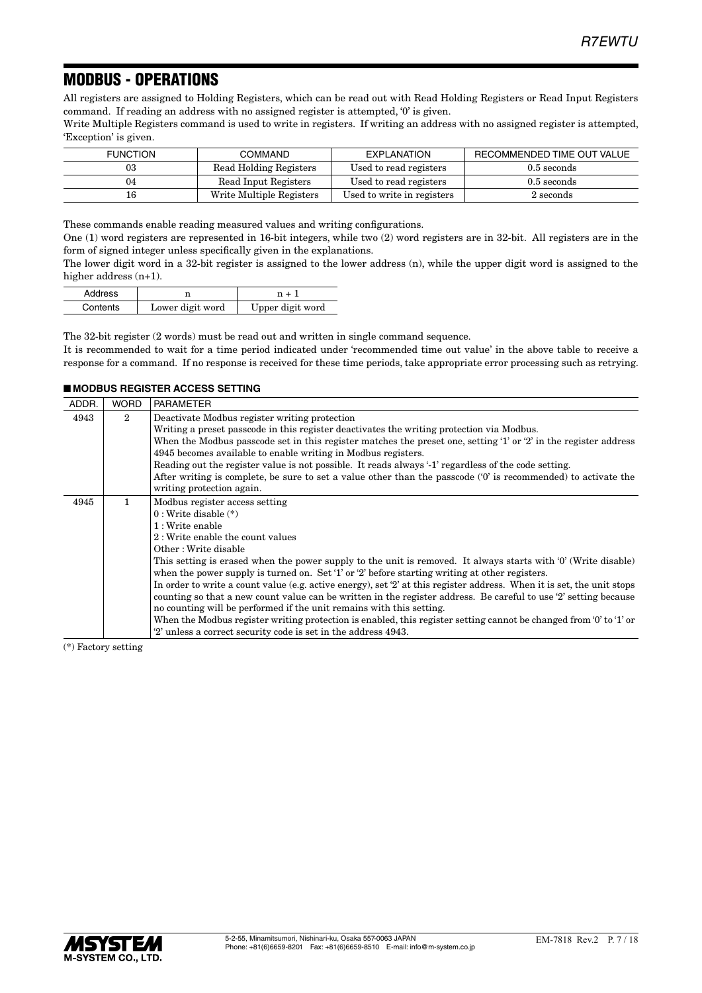# MODBUS - OPERATIONS

All registers are assigned to Holding Registers, which can be read out with Read Holding Registers or Read Input Registers command. If reading an address with no assigned register is attempted, '0' is given.

Write Multiple Registers command is used to write in registers. If writing an address with no assigned register is attempted, 'Exception' is given.

| <b>FUNCTION</b> | <b>COMMAND</b>           | EXPLANATION                | RECOMMENDED TIME OUT VALUE |
|-----------------|--------------------------|----------------------------|----------------------------|
| 03              | Read Holding Registers   | Used to read registers     | $0.5$ seconds              |
| 04              | Read Input Registers     | Used to read registers     | $0.5$ seconds              |
| 16              | Write Multiple Registers | Used to write in registers | $2$ seconds                |

These commands enable reading measured values and writing configurations.

One (1) word registers are represented in 16-bit integers, while two (2) word registers are in 32-bit. All registers are in the form of signed integer unless specifically given in the explanations.

The lower digit word in a 32-bit register is assigned to the lower address (n), while the upper digit word is assigned to the higher address  $(n+1)$ .

| Address  |                  | $n + 1$          |  |
|----------|------------------|------------------|--|
| Contents | Lower digit word | Upper digit word |  |

The 32-bit register (2 words) must be read out and written in single command sequence. It is recommended to wait for a time period indicated under 'recommended time out value' in the above table to receive a response for a command. If no response is received for these time periods, take appropriate error processing such as retrying.

#### ■ **MODBUS REGISTER ACCESS SETTING**

| ADDR. | <b>WORD</b>    | <b>PARAMETER</b>                                                                                                       |  |  |  |  |  |  |
|-------|----------------|------------------------------------------------------------------------------------------------------------------------|--|--|--|--|--|--|
| 4943  | $\overline{2}$ | Deactivate Modbus register writing protection                                                                          |  |  |  |  |  |  |
|       |                | Writing a preset passcode in this register deactivates the writing protection via Modbus.                              |  |  |  |  |  |  |
|       |                | When the Modbus passcode set in this register matches the preset one, setting '1' or '2' in the register address       |  |  |  |  |  |  |
|       |                | 4945 becomes available to enable writing in Modbus registers.                                                          |  |  |  |  |  |  |
|       |                | Reading out the register value is not possible. It reads always '-1' regardless of the code setting.                   |  |  |  |  |  |  |
|       |                | After writing is complete, be sure to set a value other than the passcode $(0)$ is recommended) to activate the        |  |  |  |  |  |  |
|       |                | writing protection again.                                                                                              |  |  |  |  |  |  |
| 4945  | 1              | Modbus register access setting                                                                                         |  |  |  |  |  |  |
|       |                | $0: Write$ disable $(*)$                                                                                               |  |  |  |  |  |  |
|       |                | 1: Write enable                                                                                                        |  |  |  |  |  |  |
|       |                | 2: Write enable the count values                                                                                       |  |  |  |  |  |  |
|       |                | Other: Write disable                                                                                                   |  |  |  |  |  |  |
|       |                | This setting is erased when the power supply to the unit is removed. It always starts with '0' (Write disable)         |  |  |  |  |  |  |
|       |                | when the power supply is turned on. Set '1' or '2' before starting writing at other registers.                         |  |  |  |  |  |  |
|       |                | In order to write a count value (e.g. active energy), set '2' at this register address. When it is set, the unit stops |  |  |  |  |  |  |
|       |                | counting so that a new count value can be written in the register address. Be careful to use '2' setting because       |  |  |  |  |  |  |
|       |                | no counting will be performed if the unit remains with this setting.                                                   |  |  |  |  |  |  |
|       |                | When the Modbus register writing protection is enabled, this register setting cannot be changed from '0' to '1' or     |  |  |  |  |  |  |
|       |                | "2" unless a correct security code is set in the address 4943.                                                         |  |  |  |  |  |  |

(\*) Factory setting

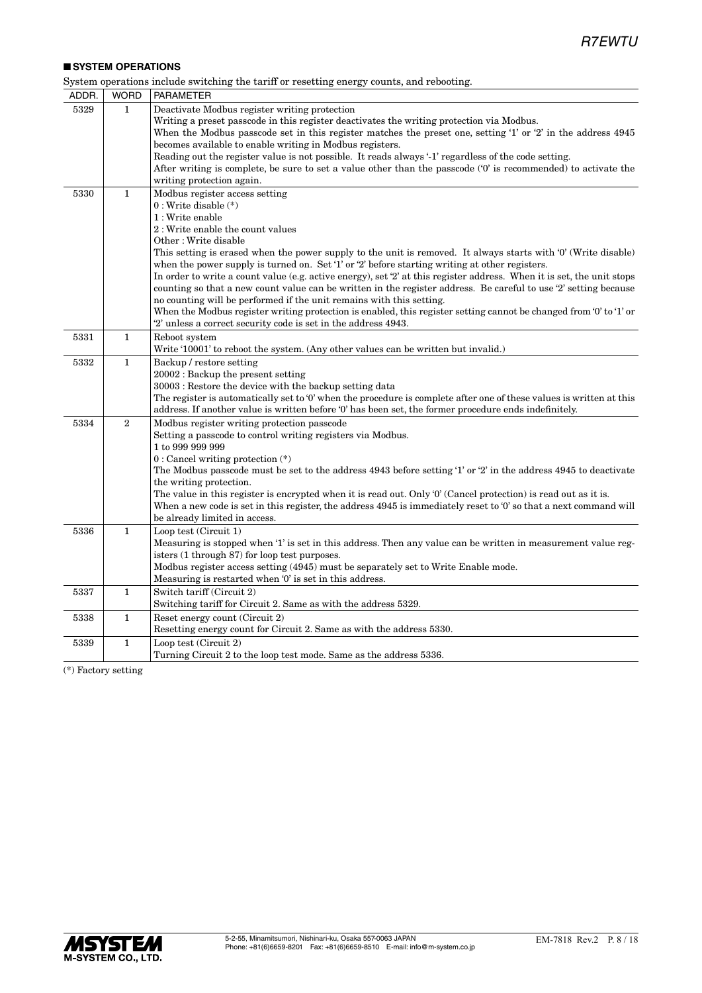#### ■ **SYSTEM OPERATIONS**

| System operations include switching the tariff or resetting energy counts, and rebooting. |  |                     |  |  |
|-------------------------------------------------------------------------------------------|--|---------------------|--|--|
|                                                                                           |  | ADDR WORD PARAMETER |  |  |

| ADDR. | <b>WORD</b>  | PARAMETER                                                                                                                                                                                                                                                                                                                                                                                                                                                                                                                                                                                                                                                                                                                                                                                                                                                                    |
|-------|--------------|------------------------------------------------------------------------------------------------------------------------------------------------------------------------------------------------------------------------------------------------------------------------------------------------------------------------------------------------------------------------------------------------------------------------------------------------------------------------------------------------------------------------------------------------------------------------------------------------------------------------------------------------------------------------------------------------------------------------------------------------------------------------------------------------------------------------------------------------------------------------------|
| 5329  | 1            | Deactivate Modbus register writing protection<br>Writing a preset passcode in this register deactivates the writing protection via Modbus.<br>When the Modbus passcode set in this register matches the preset one, setting '1' or '2' in the address 4945<br>becomes available to enable writing in Modbus registers.<br>Reading out the register value is not possible. It reads always '-1' regardless of the code setting.<br>After writing is complete, be sure to set a value other than the passcode ('0' is recommended) to activate the<br>writing protection again.                                                                                                                                                                                                                                                                                                |
| 5330  | $\mathbf{1}$ | Modbus register access setting<br>$0: Write$ disable $(*)$<br>1 : Write enable<br>2: Write enable the count values<br>Other: Write disable<br>This setting is erased when the power supply to the unit is removed. It always starts with '0' (Write disable)<br>when the power supply is turned on. Set '1' or '2' before starting writing at other registers.<br>In order to write a count value (e.g. active energy), set '2' at this register address. When it is set, the unit stops<br>counting so that a new count value can be written in the register address. Be careful to use '2' setting because<br>no counting will be performed if the unit remains with this setting.<br>When the Modbus register writing protection is enabled, this register setting cannot be changed from '0' to '1' or<br>'2' unless a correct security code is set in the address 4943. |
| 5331  | $\mathbf{1}$ | Reboot system<br>Write '10001' to reboot the system. (Any other values can be written but invalid.)                                                                                                                                                                                                                                                                                                                                                                                                                                                                                                                                                                                                                                                                                                                                                                          |
| 5332  | $\mathbf{1}$ | Backup / restore setting<br>$20002$ : Backup the present setting<br>30003 : Restore the device with the backup setting data<br>The register is automatically set to '0' when the procedure is complete after one of these values is written at this<br>address. If another value is written before '0' has been set, the former procedure ends indefinitely.                                                                                                                                                                                                                                                                                                                                                                                                                                                                                                                 |
| 5334  | $\mathbf{2}$ | Modbus register writing protection passcode<br>Setting a passcode to control writing registers via Modbus.<br>1 to 999 999 999<br>$0:$ Cancel writing protection $(*)$<br>The Modbus passcode must be set to the address 4943 before setting '1' or '2' in the address 4945 to deactivate<br>the writing protection.<br>The value in this register is encrypted when it is read out. Only '0' (Cancel protection) is read out as it is.<br>When a new code is set in this register, the address 4945 is immediately reset to '0' so that a next command will<br>be already limited in access.                                                                                                                                                                                                                                                                                |
| 5336  | $\mathbf{1}$ | Loop test (Circuit 1)<br>Measuring is stopped when '1' is set in this address. Then any value can be written in measurement value reg-<br>isters (1 through 87) for loop test purposes.<br>Modbus register access setting (4945) must be separately set to Write Enable mode.<br>Measuring is restarted when '0' is set in this address.                                                                                                                                                                                                                                                                                                                                                                                                                                                                                                                                     |
| 5337  | $\mathbf{1}$ | Switch tariff (Circuit 2)<br>Switching tariff for Circuit 2. Same as with the address 5329.                                                                                                                                                                                                                                                                                                                                                                                                                                                                                                                                                                                                                                                                                                                                                                                  |
| 5338  | $\mathbf{1}$ | Reset energy count (Circuit 2)<br>Resetting energy count for Circuit 2. Same as with the address 5330.                                                                                                                                                                                                                                                                                                                                                                                                                                                                                                                                                                                                                                                                                                                                                                       |
| 5339  | $\mathbf{1}$ | Loop test (Circuit 2)<br>Turning Circuit 2 to the loop test mode. Same as the address 5336.                                                                                                                                                                                                                                                                                                                                                                                                                                                                                                                                                                                                                                                                                                                                                                                  |

(\*) Factory setting

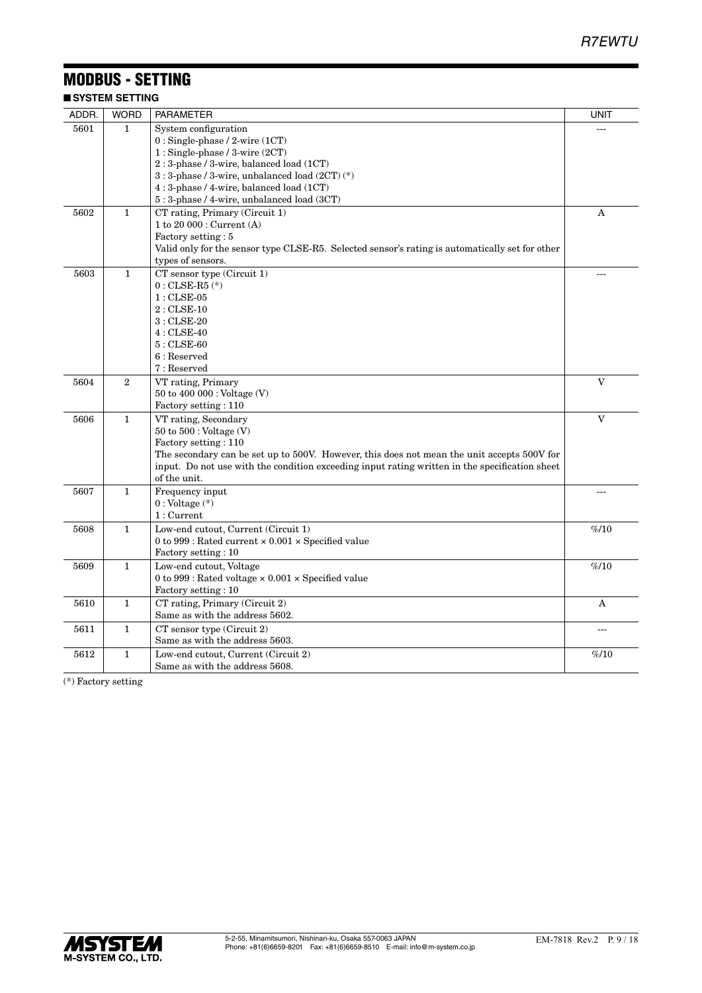# MODBUS - SETTING

■ **SYSTEM SETTING**

| ADDR. | <b>WORD</b>      | <b>PARAMETER</b>                                                                                                                                                                                                                                                                              | <b>UNIT</b>  |
|-------|------------------|-----------------------------------------------------------------------------------------------------------------------------------------------------------------------------------------------------------------------------------------------------------------------------------------------|--------------|
| 5601  | 1                | System configuration<br>$0:$ Single-phase / 2-wire $(1CT)$<br>$1:$ Single-phase / 3-wire $(2CT)$<br>2: 3-phase / 3-wire, balanced load (1CT)<br>3 : 3-phase / 3-wire, unbalanced load (2CT) (*)<br>4: 3-phase / 4-wire, balanced load (1CT)<br>$5:3$ -phase / 4-wire, unbalanced load $(3CT)$ |              |
| 5602  | $\mathbf{1}$     | CT rating, Primary (Circuit 1)<br>1 to 20 000 : Current (A)<br>Factory setting: 5<br>Valid only for the sensor type CLSE-R5. Selected sensor's rating is automatically set for other<br>types of sensors.                                                                                     | A            |
| 5603  | $\mathbf{1}$     | CT sensor type (Circuit 1)<br>$0$ : CLSE-R5 $(\textcolor{blue}{*})$<br>$1:$ CLSE-05<br>$2:$ CLSE-10<br>$3:$ CLSE-20<br>$4:$ CLSE-40<br>$5:$ CLSE-60<br>$6:$ Reserved<br>7: Reserved                                                                                                           |              |
| 5604  | $\boldsymbol{2}$ | VT rating, Primary<br>50 to 400 000: Voltage (V)<br>Factory setting: 110                                                                                                                                                                                                                      | V            |
| 5606  | $\mathbf{1}$     | VT rating, Secondary<br>$50$ to $500$ : Voltage $(V)$<br>Factory setting: 110<br>The secondary can be set up to 500V. However, this does not mean the unit accepts 500V for<br>input. Do not use with the condition exceeding input rating written in the specification sheet<br>of the unit. | $\mathbf{V}$ |
| 5607  | $\mathbf{1}$     | Frequency input<br>$0:$ Voltage $(*)$<br>1:Current                                                                                                                                                                                                                                            |              |
| 5608  | $\mathbf{1}$     | Low-end cutout, Current (Circuit 1)<br>0 to 999 : Rated current $\times$ 0.001 $\times$ Specified value<br>Factory setting: 10                                                                                                                                                                | %10          |
| 5609  | $\mathbf{1}$     | Low-end cutout, Voltage<br>0 to 999 : Rated voltage $\times$ 0.001 $\times$ Specified value<br>Factory setting: 10                                                                                                                                                                            | %10          |
| 5610  | $\mathbf{1}$     | CT rating, Primary (Circuit 2)<br>Same as with the address 5602.                                                                                                                                                                                                                              | A            |
| 5611  | 1                | $CT$ sensor type (Circuit 2)<br>Same as with the address 5603.                                                                                                                                                                                                                                | $ -$         |
| 5612  | 1                | Low-end cutout, Current (Circuit 2)<br>Same as with the address 5608.                                                                                                                                                                                                                         | %10          |

(\*) Factory setting

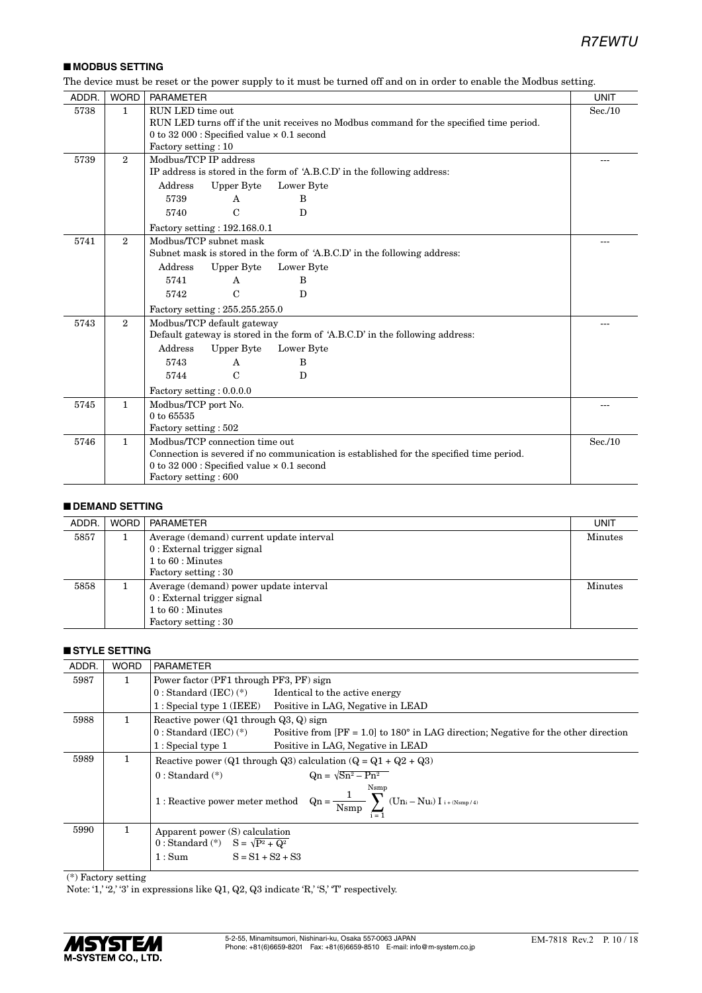### ■ **MODBUS SETTING**

The device must be reset or the power supply to it must be turned off and on in order to enable the Modbus setting.

| ADDR. | <b>WORD</b>    | <b>PARAMETER</b>                                                                                                                                                                                                                            | <b>UNIT</b> |  |  |  |  |  |
|-------|----------------|---------------------------------------------------------------------------------------------------------------------------------------------------------------------------------------------------------------------------------------------|-------------|--|--|--|--|--|
| 5738  | $\mathbf{1}$   | RUN LED time out<br>RUN LED turns off if the unit receives no Modbus command for the specified time period.<br>0 to 32 000 : Specified value $\times$ 0.1 second<br>Factory setting: 10                                                     |             |  |  |  |  |  |
| 5739  | $\mathfrak{D}$ | Modbus/TCP IP address<br>IP address is stored in the form of 'A.B.C.D' in the following address:<br>Upper Byte<br>Address<br>Lower Byte<br>5739<br>B<br>$\mathsf{A}$<br>$\mathbf C$<br>$\mathbf{D}$<br>5740<br>Factory setting: 192.168.0.1 |             |  |  |  |  |  |
| 5741  | $\overline{2}$ | Modbus/TCP subnet mask<br>Subnet mask is stored in the form of 'A.B.C.D' in the following address:<br>Upper Byte<br>Address<br>Lower Byte<br>5741<br>B<br>A<br>$\mathcal{C}$<br>D<br>5742<br>Factory setting: 255.255.255.0                 |             |  |  |  |  |  |
| 5743  | $\overline{2}$ | Modbus/TCP default gateway<br>Default gateway is stored in the form of 'A.B.C.D' in the following address:<br>Address<br>Upper Byte<br>Lower Byte<br>5743<br>B<br>A<br>$\mathcal{C}$<br>5744<br>D<br>Factory setting : 0.0.0.0              |             |  |  |  |  |  |
| 5745  | $\mathbf{1}$   | Modbus/TCP port No.<br>0 to 65535<br>Factory setting: 502                                                                                                                                                                                   |             |  |  |  |  |  |
| 5746  | $\mathbf{1}$   | Modbus/TCP connection time out<br>Connection is severed if no communication is established for the specified time period.<br>0 to 32 000 : Specified value $\times$ 0.1 second<br>Factory setting: 600                                      | Sec.10      |  |  |  |  |  |

#### ■ **DEMAND SETTING**

| ADDR. | <b>WORD</b> | PARAMETER                                           | UNIT           |  |  |  |
|-------|-------------|-----------------------------------------------------|----------------|--|--|--|
| 5857  |             | Average (demand) current update interval            |                |  |  |  |
|       |             | $0:$ External trigger signal<br>$1 to 60$ : Minutes |                |  |  |  |
|       |             | Factory setting : 30                                |                |  |  |  |
|       |             |                                                     |                |  |  |  |
| 5858  |             | Average (demand) power update interval              | <b>Minutes</b> |  |  |  |
|       |             | $0:$ External trigger signal                        |                |  |  |  |
|       |             | $1 to 60$ : Minutes                                 |                |  |  |  |
|       |             | Factory setting : 30                                |                |  |  |  |

#### ■ **STYLE SETTING**

| ADDR. | <b>WORD</b> | <b>PARAMETER</b>                                                                                                                |  |  |  |  |
|-------|-------------|---------------------------------------------------------------------------------------------------------------------------------|--|--|--|--|
| 5987  | 1           | Power factor (PF1 through PF3, PF) sign                                                                                         |  |  |  |  |
|       |             | $0: Standard (IEC)(*)$<br>Identical to the active energy                                                                        |  |  |  |  |
|       |             | $1: Special$ type $1$ (IEEE)<br>Positive in LAG, Negative in LEAD                                                               |  |  |  |  |
| 5988  | 1.          | Reactive power $(Q1 \t{through } Q3, Q)$ sign                                                                                   |  |  |  |  |
|       |             | $0: Standard (IEC) (*)$<br>Positive from $[PF = 1.0]$ to 180° in LAG direction; Negative for the other direction                |  |  |  |  |
|       |             | $1:$ Special type $1$<br>Positive in LAG, Negative in LEAD                                                                      |  |  |  |  |
| 5989  | 1.          | Reactive power (Q1 through Q3) calculation (Q = $Q_1 + Q_2 + Q_3$ )                                                             |  |  |  |  |
|       |             | $\text{On} = \sqrt{\text{Sn}^2 - \text{Pn}^2}$<br>$0: Standard (*)$                                                             |  |  |  |  |
|       |             | $1: Reactive\ power\ meter\ method \quad Qn = \frac{1}{N s m p} \sum_{i=1}^{n} \left( Un_i - N u_i \right) I_{i + (N s m p/4)}$ |  |  |  |  |
| 5990  | 1           | Apparent power (S) calculation<br>0 : Standard (*) $S = \sqrt{P^2 + Q^2}$<br>$S = S1 + S2 + S3$<br>1:Sum                        |  |  |  |  |

(\*) Factory setting

Note: '1,' '2,' '3' in expressions like  $Q1$ ,  $Q2$ ,  $Q3$  indicate 'R,' 'S,' 'T' respectively.

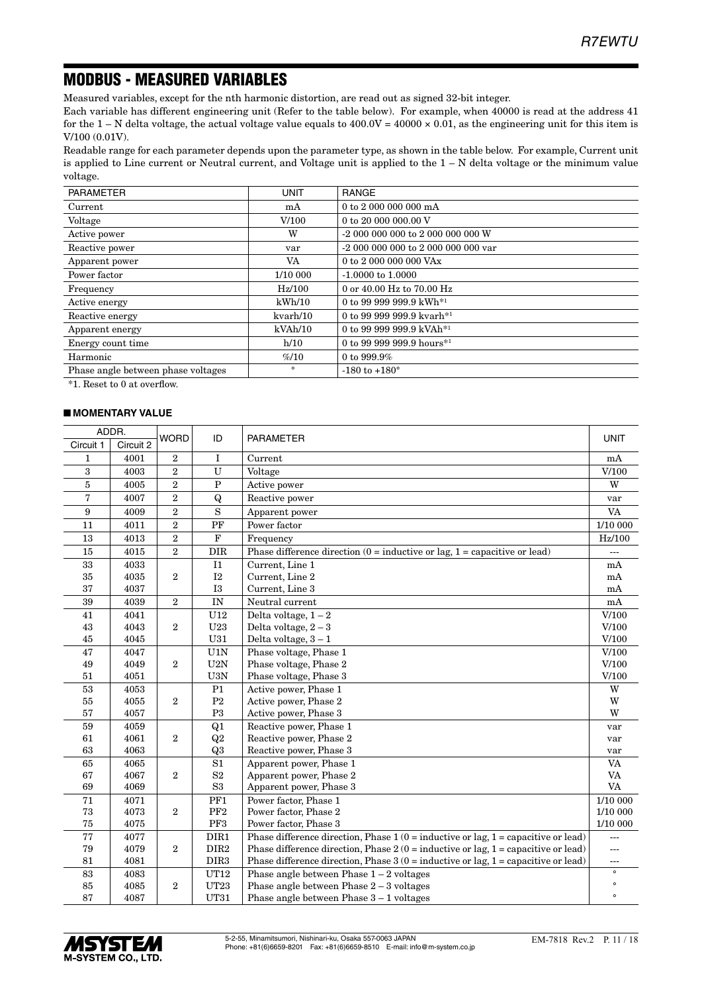# MODBUS - MEASURED VARIABLES

Measured variables, except for the nth harmonic distortion, are read out as signed 32-bit integer.

Each variable has different engineering unit (Refer to the table below). For example, when 40000 is read at the address 41 for the 1 – N delta voltage, the actual voltage value equals to  $400.0V = 40000 \times 0.01$ , as the engineering unit for this item is V/100 (0.01V).

Readable range for each parameter depends upon the parameter type, as shown in the table below. For example, Current unit is applied to Line current or Neutral current, and Voltage unit is applied to the 1 – N delta voltage or the minimum value voltage.

| <b>PARAMETER</b>                   | <b>UNIT</b>  | <b>RANGE</b>                          |
|------------------------------------|--------------|---------------------------------------|
| Current                            | mA           | 0 to 2 000 000 000 mA                 |
| Voltage                            | V/100        | 0 to 20 000 000.00 V                  |
| Active power                       | w            | -2 000 000 000 to 2 000 000 000 W     |
| Reactive power                     | var          |                                       |
| Apparent power                     | VA           | 0 to 2 000 000 000 VAx                |
| Power factor                       | 1/10 000     | $-1.0000$ to $1.0000$                 |
| Frequency                          | $\rm Hz/100$ | 0 or 40.00 Hz to 70.00 Hz             |
| Active energy                      | kWh/10       | 0 to 99 999 999.9 kWh <sup>*1</sup>   |
| Reactive energy                    | kvarh/10     | 0 to 99 999 999.9 kvarh <sup>*1</sup> |
| Apparent energy                    | kVAh/10      | 0 to 99 999 999.9 kVAh <sup>*1</sup>  |
| Energy count time                  | h/10         | 0 to 99 999 999.9 hours <sup>*1</sup> |
| Harmonic                           | %10          | 0 to 999.9%                           |
| Phase angle between phase voltages | $\circ$      | $-180$ to $+180^\circ$                |

\*1. Reset to 0 at overflow.

#### ■ **MOMENTARY VALUE**

| ADDR.     |           | <b>WORD</b><br>ID |                  |                                                                                                   |             |
|-----------|-----------|-------------------|------------------|---------------------------------------------------------------------------------------------------|-------------|
| Circuit 1 | Circuit 2 |                   |                  | <b>PARAMETER</b>                                                                                  | <b>UNIT</b> |
| 1         | 4001      | $\overline{2}$    | $\mathbf I$      | Current                                                                                           | mA          |
| 3         | 4003      | $\overline{2}$    | U                | Voltage                                                                                           | V/100       |
| $\bf 5$   | 4005      | $\overline{2}$    | $\mathbf P$      | Active power                                                                                      | W           |
| 7         | 4007      | $\overline{2}$    | $\bf{Q}$         | Reactive power                                                                                    | var         |
| 9         | 4009      | $\overline{2}$    | S                | Apparent power                                                                                    | <b>VA</b>   |
| 11        | 4011      | $\overline{2}$    | PF               | Power factor                                                                                      | 1/10 000    |
| 13        | 4013      | $\overline{2}$    | $\mathbf F$      | Frequency                                                                                         | Hz/100      |
| 15        | 4015      | $\overline{2}$    | <b>DIR</b>       | Phase difference direction $(0 = \text{inductive or lag}, 1 = \text{capacitive or lead})$         | ---         |
| 33        | 4033      |                   | 11               | Current, Line 1                                                                                   | mA          |
| 35        | 4035      | $\overline{2}$    | I2               | Current, Line 2                                                                                   | mA          |
| 37        | 4037      |                   | I3               | Current, Line 3                                                                                   | mA          |
| 39        | 4039      | $\overline{2}$    | IN               | Neutral current                                                                                   | mA          |
| 41        | 4041      |                   | U12              | Delta voltage, $1 - 2$                                                                            | V/100       |
| 43        | 4043      | $\overline{2}$    | U23              | Delta voltage, $2-3$                                                                              | V/100       |
| 45        | 4045      |                   | U31              | Delta voltage, $3-1$                                                                              | V/100       |
| 47        | 4047      |                   | U1N              | Phase voltage, Phase 1                                                                            | V/100       |
| 49        | 4049      | $\overline{2}$    | U2N              | Phase voltage, Phase 2                                                                            | V/100       |
| 51        | 4051      |                   | U3N              | Phase voltage, Phase 3                                                                            | V/100       |
| 53        | 4053      |                   | P1               | Active power, Phase 1                                                                             | W           |
| 55        | 4055      | $\overline{2}$    | P <sub>2</sub>   | Active power, Phase 2                                                                             | W           |
| 57        | 4057      |                   | P <sub>3</sub>   | Active power, Phase 3                                                                             | W           |
| 59        | 4059      |                   | Q1               | Reactive power, Phase 1                                                                           | var         |
| 61        | 4061      | $\overline{2}$    | Q2               | Reactive power, Phase 2                                                                           | var         |
| 63        | 4063      |                   | Q <sub>3</sub>   | Reactive power, Phase 3                                                                           | var         |
| 65        | 4065      |                   | S1               | Apparent power, Phase 1                                                                           | <b>VA</b>   |
| 67        | 4067      | 2                 | S <sub>2</sub>   | Apparent power, Phase 2                                                                           | VA          |
| 69        | 4069      |                   | $\rm S3$         | Apparent power, Phase 3                                                                           | <b>VA</b>   |
| 71        | 4071      |                   | PF1              | Power factor, Phase 1                                                                             | 1/10 000    |
| 73        | 4073      | $\overline{2}$    | PF <sub>2</sub>  | Power factor, Phase 2                                                                             | 1/10 000    |
| 75        | 4075      |                   | PF3              | Power factor, Phase 3                                                                             | 1/10 000    |
| 77        | 4077      |                   | DIR1             | Phase difference direction, Phase $1(0 = \text{inductive or lag}, 1 = \text{capacitive or lead})$ |             |
| 79        | 4079      | $\overline{2}$    | DIR <sub>2</sub> | Phase difference direction, Phase $2(0 = \text{inductive or lag}, 1 = \text{capacitive or lead})$ | ---         |
| 81        | 4081      |                   | DIR <sub>3</sub> | Phase difference direction, Phase $3(0 = \text{inductive or lag}, 1 = \text{capacitive or lead})$ | ---         |
| 83        | 4083      |                   | UT12             | Phase angle between Phase $1 - 2$ voltages                                                        | $\circ$     |
| 85        | 4085      | $\overline{2}$    | <b>UT23</b>      | Phase angle between Phase $2-3$ voltages                                                          | $\circ$     |
| 87        | 4087      |                   | UT31             | Phase angle between Phase $3-1$ voltages                                                          | $\circ$     |

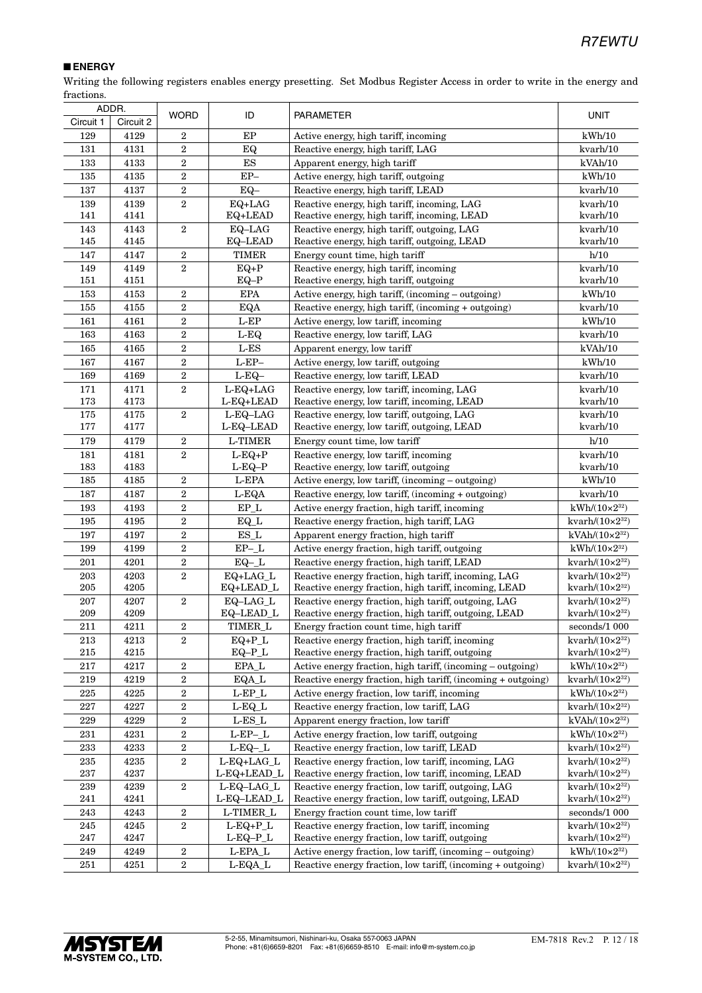#### ■ **ENERGY**

Writing the following registers enables energy presetting. Set Modbus Register Access in order to write in the energy and fractions.

| ADDR.      |              |                         |                          |                                                                                           |                             |
|------------|--------------|-------------------------|--------------------------|-------------------------------------------------------------------------------------------|-----------------------------|
| Circuit 1  | Circuit 2    | <b>WORD</b>             | ID                       | <b>PARAMETER</b>                                                                          | <b>UNIT</b>                 |
| 129        | 4129         | $\overline{2}$          | EP                       | Active energy, high tariff, incoming                                                      | kWh/10                      |
| 131        | 4131         | $\overline{2}$          | EQ                       | Reactive energy, high tariff, LAG                                                         | kvarh/10                    |
| 133        | 4133         | $\overline{2}$          | ES                       | Apparent energy, high tariff                                                              | kVAh/10                     |
| 135        | 4135         | $\,2$                   | $EP-$                    | Active energy, high tariff, outgoing                                                      | kWh/10                      |
| 137        | 4137         | $\,2\,$                 | $EQ-$                    | Reactive energy, high tariff, LEAD                                                        | kvarh/10                    |
| 139        | 4139         | $\,2$                   | EQ+LAG                   | Reactive energy, high tariff, incoming, LAG                                               | kvarh/10                    |
| 141        | 4141         |                         | EQ+LEAD                  | Reactive energy, high tariff, incoming, LEAD                                              | kvarh/10                    |
| 143        | 4143         | $\,2$                   | EQ-LAG                   | Reactive energy, high tariff, outgoing, LAG                                               | kvarh/10                    |
| 145        | 4145         |                         | EQ-LEAD                  | Reactive energy, high tariff, outgoing, LEAD                                              | kvarh/10                    |
| 147        | 4147         | $\,2$                   | <b>TIMER</b>             | Energy count time, high tariff                                                            | h/10                        |
| 149        | 4149         | $\overline{2}$          | $EQ+P$                   | Reactive energy, high tariff, incoming                                                    | kvarh/10                    |
| 151        | 4151         |                         | $EQ-P$                   | Reactive energy, high tariff, outgoing                                                    | kvarh/10                    |
| 153        | 4153         | $\,2$                   | <b>EPA</b>               | Active energy, high tariff, (incoming - outgoing)                                         | kWh/10                      |
| 155        | 4155         | $\,2\,$                 | EQA                      | Reactive energy, high tariff, (incoming + outgoing)                                       | kvarh/10                    |
| 161        | 4161         | $\,2$                   | $\operatorname{L-EP}$    | Active energy, low tariff, incoming                                                       | kWh/10                      |
| 163        | 4163         | $\,2$                   | $L-EQ$                   | Reactive energy, low tariff, LAG                                                          | kvarh/10                    |
| 165        | 4165         | $\,2$                   | $\operatorname{L-ES}$    | Apparent energy, low tariff                                                               | kVAh/10                     |
| 167        | 4167         | $\overline{2}$          | $L-EP-$                  | Active energy, low tariff, outgoing                                                       | kWh/10                      |
| 169        | 4169         | $\,2\,$                 | $L-EQ-$                  | Reactive energy, low tariff, LEAD                                                         | kvarh/10                    |
| 171        | 4171         | $\,2$                   | $L-EQ+LAG$               | Reactive energy, low tariff, incoming, LAG                                                | kvarh/10                    |
| 173        | 4173         |                         | L-EQ+LEAD                | Reactive energy, low tariff, incoming, LEAD                                               | kvarh/10                    |
| 175<br>177 | 4175<br>4177 | $\boldsymbol{2}$        | $L-EQ-LAG$<br>L-EQ-LEAD  | Reactive energy, low tariff, outgoing, LAG<br>Reactive energy, low tariff, outgoing, LEAD | kvarh/10<br>kvarh/10        |
|            |              |                         |                          |                                                                                           |                             |
| 179        | 4179         | $\,2$<br>$\overline{2}$ | L-TIMER                  | Energy count time, low tariff                                                             | h/10                        |
| 181<br>183 | 4181<br>4183 |                         | $L-EQ+P$<br>L-EQ–P       | Reactive energy, low tariff, incoming<br>Reactive energy, low tariff, outgoing            | kvarh/10<br>kvarh/10        |
| 185        | 4185         | $\overline{2}$          | L-EPA                    | Active energy, low tariff, (incoming - outgoing)                                          | kWh/10                      |
| 187        | 4187         | $\,2$                   | L-EQA                    | Reactive energy, low tariff, (incoming + outgoing)                                        | kvarh/10                    |
| 193        | 4193         | $\,2$                   | EP L                     | Active energy fraction, high tariff, incoming                                             | $kWh/(10\times2^{32})$      |
| 195        | 4195         | $\,2$                   | EQ_L                     | Reactive energy fraction, high tariff, LAG                                                | kvarh/ $(10\times2^{32})$   |
| 197        | 4197         | $\,2$                   | $ES_L$                   | Apparent energy fraction, high tariff                                                     | $kVAh/(10\times2^{32})$     |
| 199        | 4199         | $\boldsymbol{2}$        | $EP$ -_L                 | Active energy fraction, high tariff, outgoing                                             | $kWh/(10\times2^{32})$      |
| 201        | 4201         | $\,2$                   | $EQ - L$                 | Reactive energy fraction, high tariff, LEAD                                               | kvarh $/(10\times2^{32})$   |
| $\,203$    | 4203         | 2                       | EQ+LAG_L                 | Reactive energy fraction, high tariff, incoming, LAG                                      | kvarh/(10×2 <sup>32</sup> ) |
| 205        | 4205         |                         | $EQ+LEAD_L$              | Reactive energy fraction, high tariff, incoming, LEAD                                     | kvarh/ $(10\times2^{32})$   |
| 207        | 4207         | 2                       | EQ-LAG_L                 | Reactive energy fraction, high tariff, outgoing, LAG                                      | kvarh/ $(10\times2^{32})$   |
| 209        | 4209         |                         | EQ-LEAD_L                | Reactive energy fraction, high tariff, outgoing, LEAD                                     | kvarh $/(10\times2^{32})$   |
| 211        | 4211         | $\,2$                   | TIMER_L                  | Energy fraction count time, high tariff                                                   | seconds/1 000               |
| 213        | 4213         | $\,2$                   | $EQ+P_L$                 | Reactive energy fraction, high tariff, incoming                                           | kvarh/ $(10\times2^{32})$   |
| $215\,$    | 4215         |                         | $EQ-P_L$                 | Reactive energy fraction, high tariff, outgoing                                           | kvarh/ $(10\times2^{32})$   |
| 217        | 4217         | $\,2$                   | $\rm EPA\_L$             | Active energy fraction, high tariff, (incoming - outgoing)                                | $kWh/(10\times2^{32})$      |
| 219        | 4219         | $\,2$                   | EQA_L                    | Reactive energy fraction, high tariff, (incoming + outgoing)                              | kvarh $/(10\times2^{32})$   |
| $225\,$    | 4225         | $\overline{2}$          | $\operatorname{L-EP\_L}$ | Active energy fraction, low tariff, incoming                                              | $kWh/(10\times2^{32})$      |
| 227        | 4227         | $\boldsymbol{2}$        | $L-EQ_L$                 | Reactive energy fraction, low tariff, LAG                                                 | kvarh $/(10\times2^{32})$   |
| 229        | 4229         | $\,2$                   | $\operatorname{L-ES\_L}$ | Apparent energy fraction, low tariff                                                      | $kVAh/(10\times2^{32})$     |
| 231        | 4231         | $\boldsymbol{2}$        | $L$ -EP- $L$             | Active energy fraction, low tariff, outgoing                                              | $kWh/(10\times2^{32})$      |
| 233        | 4233         | $\boldsymbol{2}$        | $L-EQ-L$                 | Reactive energy fraction, low tariff, LEAD                                                | kvarh/ $(10\times2^{32})$   |
| $\bf 235$  | 4235         | $\,2$                   | L-EQ+LAG_L               | Reactive energy fraction, low tariff, incoming, LAG                                       | kvarh $/(10\times2^{32})$   |
| 237        | 4237         |                         | L-EQ+LEAD_L              | Reactive energy fraction, low tariff, incoming, LEAD                                      | kvarh/ $(10\times2^{32})$   |
| 239        | 4239         | $\,2\,$                 | L-EQ-LAG_L               | Reactive energy fraction, low tariff, outgoing, LAG                                       | kvarh $/(10\times2^{32})$   |
| 241        | 4241         |                         | L-EQ-LEAD_L              | Reactive energy fraction, low tariff, outgoing, LEAD                                      | kvarh $/(10\times2^{32})$   |
| 243        | 4243         | $\,2$                   | L-TIMER_L                | Energy fraction count time, low tariff                                                    | seconds/1 000               |
| 245        | 4245         | $\overline{2}$          | $L-EQ+P_L$               | Reactive energy fraction, low tariff, incoming                                            | kvarh/ $(10\times2^{32})$   |
| 247        | 4247         |                         | $L$ -EQ-P_L              | Reactive energy fraction, low tariff, outgoing                                            | kvarh $/(10\times2^{32})$   |
| 249        | 4249         | $\,2$                   | L-EPA_L                  | Active energy fraction, low tariff, (incoming - outgoing)                                 | $kWh/(10\times 2^{32})$     |
| $251\,$    | 4251         | $\,2$                   | L-EQA_L                  | Reactive energy fraction, low tariff, (incoming + outgoing)                               | kvarh/ $(10\times2^{32})$   |

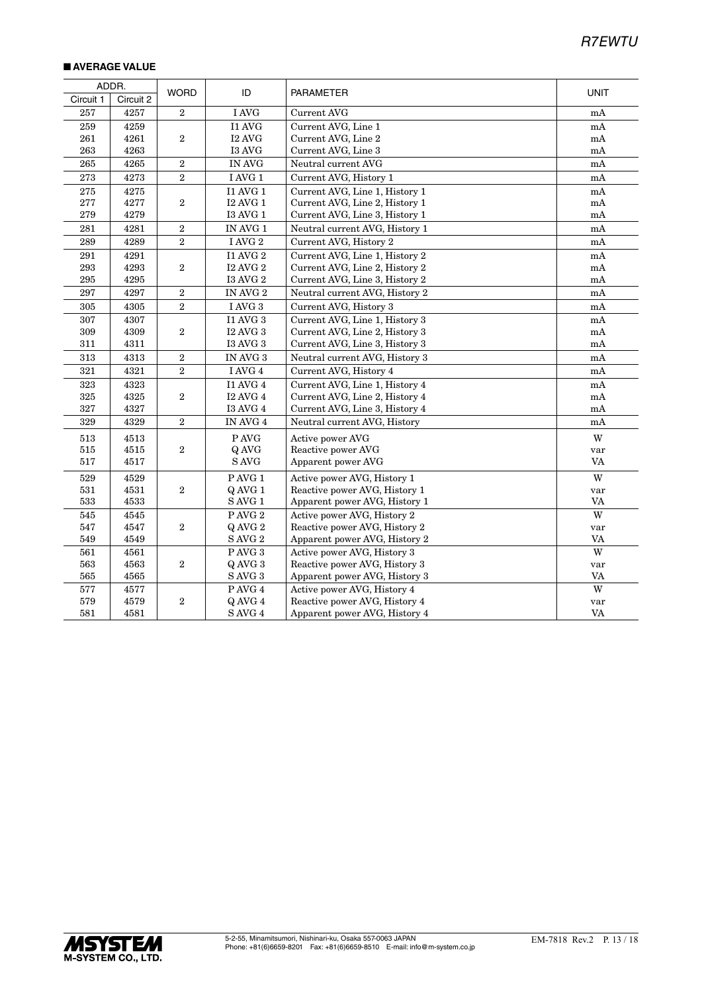#### ■ **AVERAGE VALUE**

| ADDR.     |           |                  |                   |                                |                         |
|-----------|-----------|------------------|-------------------|--------------------------------|-------------------------|
| Circuit 1 | Circuit 2 | <b>WORD</b>      | ID                | <b>PARAMETER</b>               | <b>UNIT</b>             |
| 257       | 4257      | 2                | I AVG             | <b>Current AVG</b>             | mA                      |
| 259       | 4259      |                  | I1 AVG            | Current AVG, Line 1            | mA                      |
| 261       | 4261      | $\boldsymbol{2}$ | <b>I2 AVG</b>     | Current AVG, Line 2            | mA                      |
| 263       | 4263      |                  | I3 AVG            | Current AVG, Line 3            | mA                      |
| 265       | 4265      | $\boldsymbol{2}$ | <b>IN AVG</b>     | Neutral current AVG            | mA                      |
| 273       | 4273      | $\,2$            | I AVG 1           | Current AVG, History 1         | mA                      |
| 275       | 4275      |                  | <b>I1 AVG 1</b>   | Current AVG, Line 1, History 1 | mA                      |
| 277       | 4277      | $\sqrt{2}$       | <b>I2 AVG 1</b>   | Current AVG, Line 2, History 1 | mA                      |
| 279       | 4279      |                  | <b>I3 AVG 1</b>   | Current AVG, Line 3, History 1 | mA                      |
| 281       | 4281      | $\overline{2}$   | IN AVG 1          | Neutral current AVG, History 1 | mA                      |
| 289       | 4289      | $\sqrt{2}$       | I AVG $2\,$       | Current AVG, History 2         | mA                      |
| 291       | 4291      |                  | <b>I1 AVG 2</b>   | Current AVG, Line 1, History 2 | mA                      |
| 293       | 4293      | $\boldsymbol{2}$ | <b>I2 AVG 2</b>   | Current AVG, Line 2, History 2 | mA                      |
| $\,295$   | 4295      |                  | <b>I3 AVG 2</b>   | Current AVG, Line 3, History 2 | mA                      |
| 297       | 4297      | $\overline{2}$   | IN AVG 2          | Neutral current AVG, History 2 | mA                      |
| 305       | 4305      | $\overline{2}$   | I AVG 3           | Current AVG, History 3         | mA                      |
| 307       | 4307      |                  | <b>I1 AVG 3</b>   | Current AVG, Line 1, History 3 | mA                      |
| 309       | 4309      | $\sqrt{2}$       | <b>I2 AVG 3</b>   | Current AVG, Line 2, History 3 | mA                      |
| 311       | 4311      |                  | <b>I3 AVG 3</b>   | Current AVG, Line 3, History 3 | mA                      |
| $313\,$   | 4313      | $\,2$            | IN AVG $3\,$      | Neutral current AVG, History 3 | mA                      |
| 321       | 4321      | $\overline{2}$   | I AVG 4           | Current AVG, History 4         | mA                      |
| 323       | 4323      |                  | <b>I1 AVG 4</b>   | Current AVG, Line 1, History 4 | mA                      |
| $325\,$   | 4325      | $\sqrt{2}$       | <b>I2 AVG 4</b>   | Current AVG, Line 2, History 4 | $\rm mA$                |
| 327       | 4327      |                  | <b>I3 AVG 4</b>   | Current AVG, Line 3, History 4 | mA                      |
| 329       | 4329      | $\sqrt{2}$       | IN AVG $4\,$      | Neutral current AVG, History   | mA                      |
| 513       | 4513      |                  | P AVG             | Active power AVG               | $\ensuremath{\text{W}}$ |
| 515       | 4515      | $\overline{2}$   | Q AVG             | Reactive power AVG             | var                     |
| 517       | 4517      |                  | S AVG             | Apparent power AVG             | VA                      |
| 529       | 4529      |                  | $\rm P$ AVG $1$   | Active power AVG, History 1    | W                       |
| 531       | 4531      | $\overline{2}$   | Q AVG 1           | Reactive power AVG, History 1  | var                     |
| 533       | 4533      |                  | SAVG <sub>1</sub> | Apparent power AVG, History 1  | VA                      |
| 545       | 4545      |                  | PAVG <sub>2</sub> | Active power AVG, History 2    | W                       |
| 547       | 4547      | $\boldsymbol{2}$ | Q AVG 2           | Reactive power AVG, History 2  | var                     |
| 549       | 4549      |                  | S AVG 2           | Apparent power AVG, History 2  | VA                      |
| 561       | 4561      |                  | P AVG 3           | Active power AVG, History 3    | W                       |
| 563       | 4563      | $\sqrt{2}$       | Q AVG 3           | Reactive power AVG, History 3  | var                     |
| 565       | 4565      |                  | SAVG <sub>3</sub> | Apparent power AVG, History 3  | <b>VA</b>               |
| 577       | 4577      |                  | PAVG 4            | Active power AVG, History 4    | W                       |
| 579       | 4579      | $\sqrt{2}$       | Q AVG 4           | Reactive power AVG, History 4  | var                     |
| 581       | 4581      |                  | SAVG 4            | Apparent power AVG, History 4  | VA                      |

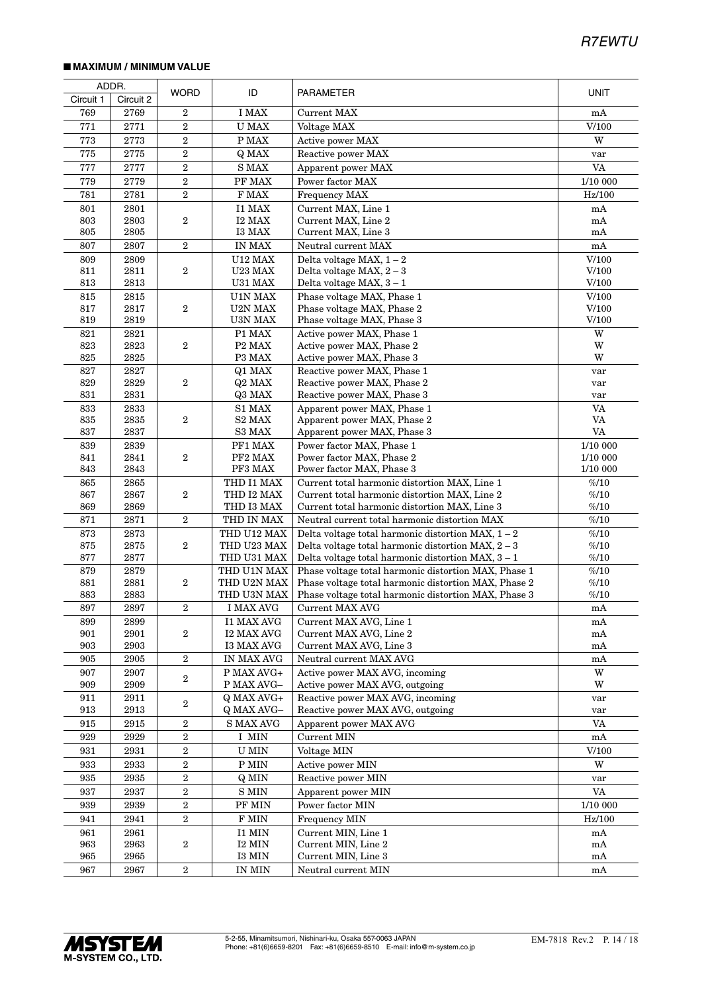#### ■ **MAXIMUM / MINIMUM VALUE**

|            | ADDR.        |                  |                            |                                                                                                              |                         |
|------------|--------------|------------------|----------------------------|--------------------------------------------------------------------------------------------------------------|-------------------------|
| Circuit 1  | Circuit 2    | <b>WORD</b>      | ID                         | PARAMETER                                                                                                    | <b>UNIT</b>             |
| 769        | 2769         | $\overline{2}$   | I MAX                      | <b>Current MAX</b>                                                                                           | mA                      |
| 771        | 2771         | $\boldsymbol{2}$ | <b>U MAX</b>               | Voltage MAX                                                                                                  | V/100                   |
| 773        | 2773         | $\,2$            | P MAX                      | Active power MAX                                                                                             | W                       |
| 775        | 2775         | $\boldsymbol{2}$ | Q MAX                      | Reactive power MAX                                                                                           | var                     |
| 777        | 2777         | $\,2$            | $\mathbf S$ MAX            | Apparent power MAX                                                                                           | <b>VA</b>               |
| 779        | 2779         | $\overline{2}$   | PF MAX                     | Power factor MAX                                                                                             | 1/10 000                |
| 781        | 2781         | $\overline{2}$   | F MAX                      | <b>Frequency MAX</b>                                                                                         | Hz/100                  |
| 801        | 2801         |                  | <b>I1 MAX</b>              | Current MAX, Line 1                                                                                          | mA                      |
| 803        | 2803         | 2                | I2 MAX                     | Current MAX, Line 2                                                                                          | $\rm mA$                |
| 805        | 2805         |                  | <b>I3 MAX</b>              | Current MAX, Line 3                                                                                          | mA                      |
| 807        | 2807         | $\,2$            | <b>IN MAX</b>              | Neutral current MAX                                                                                          | mA                      |
| 809        | 2809         |                  | <b>U12 MAX</b>             | Delta voltage MAX, $1-2$                                                                                     | V/100                   |
| 811        | 2811         | 2                | U23 MAX                    | Delta voltage MAX, $2-3$                                                                                     | V/100                   |
| 813        | 2813         |                  | U31 MAX                    | Delta voltage MAX, $3-1$                                                                                     | V/100                   |
| 815<br>817 | 2815<br>2817 | 2                | U1N MAX<br>U2N MAX         | Phase voltage MAX, Phase 1<br>Phase voltage MAX, Phase 2                                                     | V/100<br>V/100          |
| 819        | 2819         |                  | U3N MAX                    | Phase voltage MAX, Phase 3                                                                                   | V/100                   |
| 821        | 2821         |                  | P1 MAX                     | Active power MAX, Phase 1                                                                                    | $\ensuremath{\text{W}}$ |
| 823        | 2823         | $\overline{2}$   | P <sub>2</sub> MAX         | Active power MAX, Phase 2                                                                                    | W                       |
| 825        | 2825         |                  | P3 MAX                     | Active power MAX, Phase 3                                                                                    | W                       |
| 827        | 2827         |                  | Q1 MAX                     | Reactive power MAX, Phase 1                                                                                  | var                     |
| 829        | 2829         | $\boldsymbol{2}$ | Q2 MAX                     | Reactive power MAX, Phase 2                                                                                  | var                     |
| 831        | 2831         |                  | Q3 MAX                     | Reactive power MAX, Phase 3                                                                                  | var                     |
| 833        | 2833         |                  | S1 MAX                     | Apparent power MAX, Phase 1                                                                                  | <b>VA</b>               |
| 835        | 2835         | 2                | S2 MAX                     | Apparent power MAX, Phase 2                                                                                  | VA                      |
| 837        | 2837         |                  | S3 MAX                     | Apparent power MAX, Phase 3                                                                                  | VA                      |
| 839<br>841 | 2839<br>2841 | $\overline{2}$   | PF1 MAX<br>PF2 MAX         | Power factor MAX, Phase 1<br>Power factor MAX, Phase 2                                                       | 1/10 000<br>1/10 000    |
| 843        | 2843         |                  | PF3 MAX                    | Power factor MAX, Phase 3                                                                                    | 1/10 000                |
| 865        | 2865         |                  | THD I1 MAX                 | Current total harmonic distortion MAX, Line 1                                                                | %10                     |
| 867        | 2867         | $\overline{2}$   | THD I2 MAX                 | Current total harmonic distortion MAX, Line 2                                                                | %10                     |
| 869        | 2869         |                  | THD I3 MAX                 | Current total harmonic distortion MAX, Line 3                                                                | %10                     |
| 871        | 2871         | $\,2$            | THD IN MAX                 | Neutral current total harmonic distortion MAX                                                                | %10                     |
| 873        | 2873         |                  | THD U12 MAX                | Delta voltage total harmonic distortion MAX, $1 - 2$                                                         | %10                     |
| 875        | 2875         | $\,2$            | THD U23 MAX                | Delta voltage total harmonic distortion MAX, $2-3$                                                           | %10                     |
| 877        | 2877         |                  | THD U31 MAX                | Delta voltage total harmonic distortion MAX, $3 - 1$                                                         | %10                     |
| 879        | 2879         |                  | THD U1N MAX                | Phase voltage total harmonic distortion MAX, Phase 1                                                         | %10                     |
| 881<br>883 | 2881<br>2883 | $\boldsymbol{2}$ | THD U2N MAX<br>THD U3N MAX | Phase voltage total harmonic distortion MAX, Phase 2<br>Phase voltage total harmonic distortion MAX, Phase 3 | %10<br>%10              |
| 897        | 2897         | $\boldsymbol{2}$ | <b>I MAX AVG</b>           | Current MAX AVG                                                                                              | $\rm mA$                |
| 899        | 2899         |                  | <b>I1 MAX AVG</b>          | Current MAX AVG, Line 1                                                                                      | mA                      |
| 901        | 2901         | 2                | <b>I2 MAX AVG</b>          | Current MAX AVG, Line 2                                                                                      | mA                      |
| 903        | 2903         |                  | <b>I3 MAX AVG</b>          | Current MAX AVG, Line 3                                                                                      | mA                      |
| 905        | 2905         | $\,2$            | IN MAX AVG                 | Neutral current MAX AVG                                                                                      | mA                      |
| 907        | 2907         |                  | $\overline{P}$ MAX AVG+    | Active power MAX AVG, incoming                                                                               | W                       |
| 909        | 2909         | 2                | P MAX AVG-                 | Active power MAX AVG, outgoing                                                                               | W                       |
| 911        | 2911         | 2                | Q MAX AVG+                 | Reactive power MAX AVG, incoming                                                                             | var                     |
| 913        | 2913         |                  | Q MAX AVG-                 | Reactive power MAX AVG, outgoing                                                                             | var                     |
| 915        | 2915         | $\boldsymbol{2}$ | <b>S MAX AVG</b>           | Apparent power MAX AVG                                                                                       | <b>VA</b>               |
| 929        | 2929         | $\,2$            | I MIN                      | Current MIN                                                                                                  | mA                      |
| 931        | 2931         | $\boldsymbol{2}$ | ${\rm U}$ MIN              | Voltage MIN                                                                                                  | V/100                   |
| 933        | 2933         | $\boldsymbol{2}$ | ${\rm P}$ MIN              | Active power MIN                                                                                             | W                       |
| 935        | 2935         | $\overline{2}$   | Q MIN                      | Reactive power MIN                                                                                           | var                     |
| 937        | 2937         | $\boldsymbol{2}$ | $\mathbf S$ MIN            | Apparent power MIN                                                                                           | VA                      |
| 939        | 2939         | $\overline{2}$   | PF MIN                     | Power factor MIN                                                                                             | 1/10 000                |
| 941        | 2941         | $\overline{2}$   | F MIN                      | <b>Frequency MIN</b>                                                                                         | Hz/100                  |
| 961        | 2961         |                  | I1 MIN                     | Current MIN, Line 1                                                                                          | mA                      |
| 963        | 2963         | 2                | $I2$ MIN $\,$              | Current MIN, Line 2                                                                                          | mA                      |
| 965<br>967 | $\,2965$     |                  | I3 MIN                     | Current MIN, Line 3                                                                                          | mA                      |
|            | 2967         | $\,2$            | IN MIN                     | Neutral current MIN                                                                                          | mA                      |

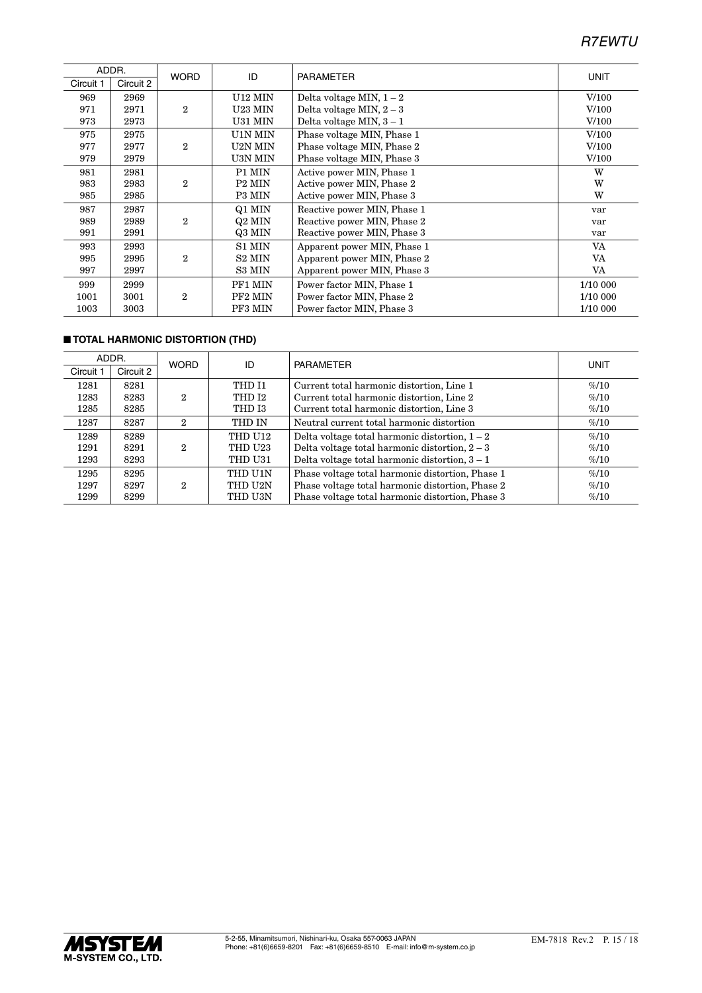| ADDR.     |           | <b>WORD</b>    | ID                  | <b>PARAMETER</b>            | <b>UNIT</b> |
|-----------|-----------|----------------|---------------------|-----------------------------|-------------|
| Circuit 1 | Circuit 2 |                |                     |                             |             |
| 969       | 2969      |                | U12 MIN             | Delta voltage MIN, $1-2$    | V/100       |
| 971       | 2971      | $\overline{2}$ | U23 MIN             | Delta voltage MIN, $2-3$    | V/100       |
| 973       | 2973      |                | U31 MIN             | Delta voltage MIN, $3-1$    | V/100       |
| 975       | 2975      |                | U1N MIN             | Phase voltage MIN, Phase 1  | V/100       |
| 977       | 2977      | $\overline{2}$ | U2N MIN             | Phase voltage MIN, Phase 2  | V/100       |
| 979       | 2979      |                | U3N MIN             | Phase voltage MIN, Phase 3  | V/100       |
| 981       | 2981      |                | P1 MIN              | Active power MIN, Phase 1   | W           |
| 983       | 2983      | $\overline{2}$ | P <sub>2</sub> MIN  | Active power MIN, Phase 2   | W           |
| 985       | 2985      |                | P3 MIN              | Active power MIN, Phase 3   | W           |
| 987       | 2987      |                | Q1 MIN              | Reactive power MIN, Phase 1 | var         |
| 989       | 2989      | $\overline{2}$ | Q2 MIN              | Reactive power MIN, Phase 2 | var         |
| 991       | 2991      |                | Q3 MIN              | Reactive power MIN, Phase 3 | var         |
| 993       | 2993      |                | S1 MIN              | Apparent power MIN, Phase 1 | VA          |
| 995       | 2995      | $\overline{2}$ | S <sub>2</sub> MIN  | Apparent power MIN, Phase 2 | VA          |
| 997       | 2997      |                | S3 MIN              | Apparent power MIN, Phase 3 | VA          |
| 999       | 2999      |                | PF1 MIN             | Power factor MIN, Phase 1   | 1/10 000    |
| 1001      | 3001      | 2              | PF <sub>2</sub> MIN | Power factor MIN, Phase 2   | 1/10 000    |
| 1003      | 3003      |                | PF3 MIN             | Power factor MIN, Phase 3   | 1/10 000    |

#### ■ **TOTAL HARMONIC DISTORTION (THD)**

| ADDR.     |           | <b>WORD</b>                 | ID                | <b>PARAMETER</b>                                 | UNIT |
|-----------|-----------|-----------------------------|-------------------|--------------------------------------------------|------|
| Circuit 1 | Circuit 2 |                             |                   |                                                  |      |
| 1281      | 8281      |                             | THD I1            | Current total harmonic distortion, Line 1        | %10  |
| 1283      | 8283      | $\mathcal{D}_{\mathcal{L}}$ | THD <sub>12</sub> | Current total harmonic distortion, Line 2        | %10  |
| 1285      | 8285      |                             | THD I3            | Current total harmonic distortion, Line 3        | %10  |
| 1287      | 8287      | 2                           | THD IN            | Neutral current total harmonic distortion        | %10  |
| 1289      | 8289      |                             | THD U12           | Delta voltage total harmonic distortion, $1 - 2$ | %10  |
| 1291      | 8291      | 2                           | <b>THD U23</b>    | Delta voltage total harmonic distortion, $2-3$   | %10  |
| 1293      | 8293      |                             | THD U31           | Delta voltage total harmonic distortion, $3 - 1$ | %10  |
| 1295      | 8295      |                             | THD U1N           | Phase voltage total harmonic distortion, Phase 1 | %10  |
| 1297      | 8297      | 2                           | THD U2N           | Phase voltage total harmonic distortion, Phase 2 | %10  |
| 1299      | 8299      |                             | THD U3N           | Phase voltage total harmonic distortion, Phase 3 | %10  |

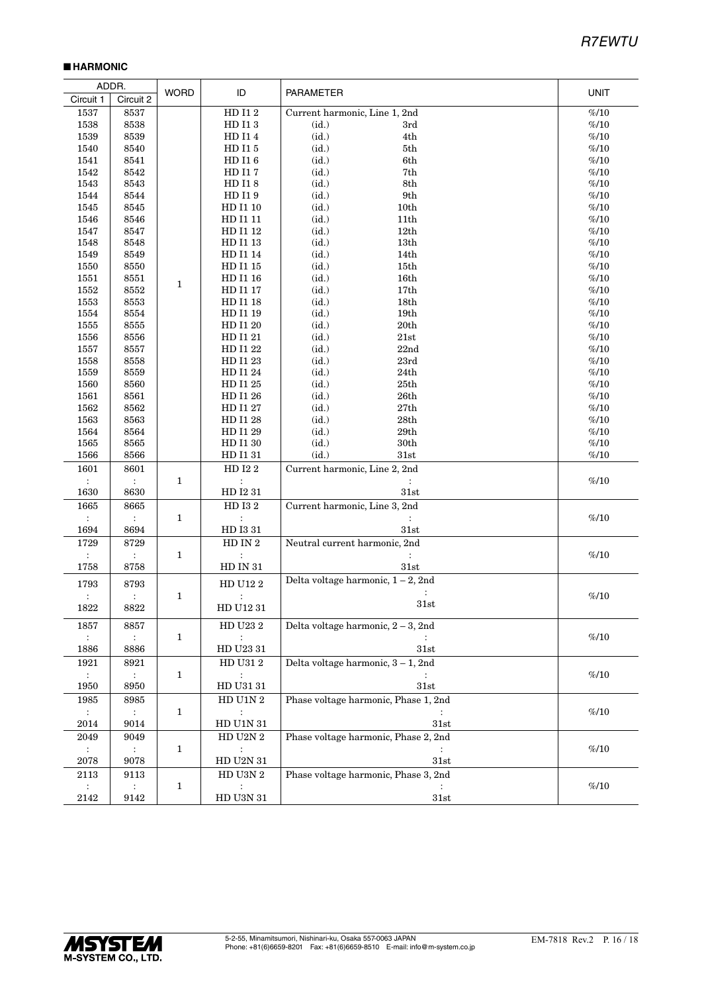#### ■ **HARMONIC**

| <b>WORD</b><br>ID<br><b>PARAMETER</b><br>UNIT<br>Circuit 1<br>Circuit 2<br>${\rm HD}$ I1 2<br>Current harmonic, Line 1, 2nd<br>1537<br>8537<br>%10<br>1538<br>8538<br>HD I13<br>(id.)<br>%10<br>3rd<br>(id.)<br>1539<br>8539<br>HD I14<br>4th<br>%10<br>1540<br>(id.)<br>$5{\rm th}$<br>$\% / 10$<br>8540<br>HD I15<br>(id.)<br>6th<br>%10<br>1541<br>8541<br>HD I16<br>(id.)<br>%10<br>1542<br>8542<br>HD I17<br>7th<br>1543<br>8543<br>(id.)<br>8th<br>%10<br>HD I18<br>HD I19<br>(id.)<br>9th<br>$\% / 10$<br>1544<br>8544<br>(id.)<br>%10<br>1545<br>8545<br>HD I1 10<br>10th<br>1546<br>8546<br>(id.)<br>%10<br>HD I1 11<br>11 <sub>th</sub><br>HD I1 12<br>(id.)<br>12th<br>%10<br>1547<br>8547<br>(id.)<br>%10<br>1548<br>8548<br>HD I1 13<br>13 <sub>th</sub><br>(id.)<br>1549<br>8549<br>%10<br>HD I1 14<br>14th<br>HD I1 15<br>(id.)<br>%10<br>1550<br>8550<br>15th<br>1551<br>8551<br>HD I1 16<br>(id.)<br>16 <sub>th</sub><br>%10<br>$\mathbf{1}$<br>1552<br>(id.)<br>%10<br>8552<br>HD I1 17<br>17th<br>$1553\,$<br>HD I1 18<br>(id.)<br>%10<br>8553<br>18 <sub>th</sub><br>(id.)<br>%10<br>1554<br>8554<br>HD I1 19<br>19 <sub>th</sub><br>HD I1 20<br>(id.)<br>20th<br>%10<br>1555<br>8555<br>HD I1 21<br>(id.)<br>$\% / 10$<br>1556<br>8556<br>21st<br>(id.)<br>%10<br>1557<br>8557<br>HD I1 22<br>22nd<br>1558<br>(id.)<br>23rd<br>%10<br>8558<br>HD I1 23<br>(id.)<br>%10<br>1559<br>8559<br>HD I1 24<br>24th<br>(id.)<br>%10<br>1560<br>8560<br>HD I1 25<br>25th<br>(id.)<br>1561<br>8561<br>HD I1 26<br>26th<br>%10<br>1562<br>HD I1 27<br>(id.)<br>27th<br>$\% / 10$<br>8562<br>(id.)<br>%10<br>1563<br>8563<br>HD I1 28<br>28th<br>1564<br>8564<br>(id.)<br>29th<br>%10<br>HD I1 29<br>1565<br>HD I1 30<br>(id.)<br>30th<br>$\% / 10$<br>8565<br>%10<br>1566<br>8566<br>HD I131<br>(id.)<br>31st<br>Current harmonic, Line 2, 2nd<br>HD I22<br>1601<br>8601<br>$\mathbf{1}$<br>%10<br>$\sim$<br>$\ddot{\cdot}$<br>1630<br>8630<br>HD I2 31<br>31st<br>1665<br>HD I32<br>Current harmonic, Line 3, 2nd<br>8665<br>%10<br>$\mathbf{1}$<br>$\ddot{\mathbb{1}}$<br>÷<br>$\ddot{\phantom{a}}$<br>1694<br>${\rm HD}$ I3 31<br>8694<br>31st<br>1729<br>HD IN $2\,$<br>Neutral current harmonic, 2nd<br>8729<br>$\% / 10$<br>$\mathbf{1}$<br>$\ddot{\cdot}$<br>$\mathcal{L}$<br>HD IN 31<br>31st<br>1758<br>8758<br>Delta voltage harmonic, $1 - 2$ , 2nd<br>${\rm HD}$ U12 $2$<br>1793<br>8793<br>%10<br>$\mathbf{1}$<br>$\ddot{\cdot}$<br>$\ddot{\cdot}$<br>$\ddot{\cdot}$<br>31st<br>$1822\,$<br>8822<br>${\rm HD}$ U12 $31$<br>Delta voltage harmonic, $2 - 3$ , 2nd<br>HD U23 2<br>1857<br>8857<br>%10<br>$\mathbf{1}$<br>$\ddot{\phantom{a}}$<br>$\sim$<br>${\rm HD}$ U23 31<br>1886<br>8886<br>31st<br>Delta voltage harmonic, 3 - 1, 2nd<br>${\rm HD}$ U31 $2$<br>1921<br>8921<br>%10<br>$\sim 10$<br>1<br>$\ddot{\phantom{a}}$<br>${\rm HD}$ U31 $31$<br>31st<br>1950<br>8950<br>Phase voltage harmonic, Phase 1, 2nd<br>${\rm HD}$ U1N $2$<br>1985<br>8985<br>%10<br>$\mathbb{C}^{\times}$<br>$\mathbf{1}$<br>$\sim 10$<br>$\ddot{\phantom{a}}$<br>HD U1N 31<br>31st<br>2014<br>9014<br>${\rm HD}$ U2N $2$<br>Phase voltage harmonic, Phase 2, 2nd<br>2049<br>9049<br>%10<br>$\mathbf{1}$<br>$\sim 10$<br>$\mathcal{I}^{\mathcal{I}}$<br>$\ddot{\cdot}$<br>${\rm HD}$ U2N $31$<br>2078<br>9078<br>31st<br>Phase voltage harmonic, Phase 3, 2nd<br>${\rm HD}$ U3N $2$<br>2113<br>9113<br>%10<br>1<br>$\sim$<br>÷ |      | ADDR. |                     |      |  |
|-----------------------------------------------------------------------------------------------------------------------------------------------------------------------------------------------------------------------------------------------------------------------------------------------------------------------------------------------------------------------------------------------------------------------------------------------------------------------------------------------------------------------------------------------------------------------------------------------------------------------------------------------------------------------------------------------------------------------------------------------------------------------------------------------------------------------------------------------------------------------------------------------------------------------------------------------------------------------------------------------------------------------------------------------------------------------------------------------------------------------------------------------------------------------------------------------------------------------------------------------------------------------------------------------------------------------------------------------------------------------------------------------------------------------------------------------------------------------------------------------------------------------------------------------------------------------------------------------------------------------------------------------------------------------------------------------------------------------------------------------------------------------------------------------------------------------------------------------------------------------------------------------------------------------------------------------------------------------------------------------------------------------------------------------------------------------------------------------------------------------------------------------------------------------------------------------------------------------------------------------------------------------------------------------------------------------------------------------------------------------------------------------------------------------------------------------------------------------------------------------------------------------------------------------------------------------------------------------------------------------------------------------------------------------------------------------------------------------------------------------------------------------------------------------------------------------------------------------------------------------------------------------------------------------------------------------------------------------------------------------------------------------------------------------------------------------------------------------------------------------------------------------------------------------------------------------------------------------------------------------------------------------------------------------------------------------------------------------------------------------------------------------------------------------------------------|------|-------|---------------------|------|--|
|                                                                                                                                                                                                                                                                                                                                                                                                                                                                                                                                                                                                                                                                                                                                                                                                                                                                                                                                                                                                                                                                                                                                                                                                                                                                                                                                                                                                                                                                                                                                                                                                                                                                                                                                                                                                                                                                                                                                                                                                                                                                                                                                                                                                                                                                                                                                                                                                                                                                                                                                                                                                                                                                                                                                                                                                                                                                                                                                                                                                                                                                                                                                                                                                                                                                                                                                                                                                                                         |      |       |                     |      |  |
|                                                                                                                                                                                                                                                                                                                                                                                                                                                                                                                                                                                                                                                                                                                                                                                                                                                                                                                                                                                                                                                                                                                                                                                                                                                                                                                                                                                                                                                                                                                                                                                                                                                                                                                                                                                                                                                                                                                                                                                                                                                                                                                                                                                                                                                                                                                                                                                                                                                                                                                                                                                                                                                                                                                                                                                                                                                                                                                                                                                                                                                                                                                                                                                                                                                                                                                                                                                                                                         |      |       |                     |      |  |
|                                                                                                                                                                                                                                                                                                                                                                                                                                                                                                                                                                                                                                                                                                                                                                                                                                                                                                                                                                                                                                                                                                                                                                                                                                                                                                                                                                                                                                                                                                                                                                                                                                                                                                                                                                                                                                                                                                                                                                                                                                                                                                                                                                                                                                                                                                                                                                                                                                                                                                                                                                                                                                                                                                                                                                                                                                                                                                                                                                                                                                                                                                                                                                                                                                                                                                                                                                                                                                         |      |       |                     |      |  |
|                                                                                                                                                                                                                                                                                                                                                                                                                                                                                                                                                                                                                                                                                                                                                                                                                                                                                                                                                                                                                                                                                                                                                                                                                                                                                                                                                                                                                                                                                                                                                                                                                                                                                                                                                                                                                                                                                                                                                                                                                                                                                                                                                                                                                                                                                                                                                                                                                                                                                                                                                                                                                                                                                                                                                                                                                                                                                                                                                                                                                                                                                                                                                                                                                                                                                                                                                                                                                                         |      |       |                     |      |  |
|                                                                                                                                                                                                                                                                                                                                                                                                                                                                                                                                                                                                                                                                                                                                                                                                                                                                                                                                                                                                                                                                                                                                                                                                                                                                                                                                                                                                                                                                                                                                                                                                                                                                                                                                                                                                                                                                                                                                                                                                                                                                                                                                                                                                                                                                                                                                                                                                                                                                                                                                                                                                                                                                                                                                                                                                                                                                                                                                                                                                                                                                                                                                                                                                                                                                                                                                                                                                                                         |      |       |                     |      |  |
|                                                                                                                                                                                                                                                                                                                                                                                                                                                                                                                                                                                                                                                                                                                                                                                                                                                                                                                                                                                                                                                                                                                                                                                                                                                                                                                                                                                                                                                                                                                                                                                                                                                                                                                                                                                                                                                                                                                                                                                                                                                                                                                                                                                                                                                                                                                                                                                                                                                                                                                                                                                                                                                                                                                                                                                                                                                                                                                                                                                                                                                                                                                                                                                                                                                                                                                                                                                                                                         |      |       |                     |      |  |
|                                                                                                                                                                                                                                                                                                                                                                                                                                                                                                                                                                                                                                                                                                                                                                                                                                                                                                                                                                                                                                                                                                                                                                                                                                                                                                                                                                                                                                                                                                                                                                                                                                                                                                                                                                                                                                                                                                                                                                                                                                                                                                                                                                                                                                                                                                                                                                                                                                                                                                                                                                                                                                                                                                                                                                                                                                                                                                                                                                                                                                                                                                                                                                                                                                                                                                                                                                                                                                         |      |       |                     |      |  |
|                                                                                                                                                                                                                                                                                                                                                                                                                                                                                                                                                                                                                                                                                                                                                                                                                                                                                                                                                                                                                                                                                                                                                                                                                                                                                                                                                                                                                                                                                                                                                                                                                                                                                                                                                                                                                                                                                                                                                                                                                                                                                                                                                                                                                                                                                                                                                                                                                                                                                                                                                                                                                                                                                                                                                                                                                                                                                                                                                                                                                                                                                                                                                                                                                                                                                                                                                                                                                                         |      |       |                     |      |  |
|                                                                                                                                                                                                                                                                                                                                                                                                                                                                                                                                                                                                                                                                                                                                                                                                                                                                                                                                                                                                                                                                                                                                                                                                                                                                                                                                                                                                                                                                                                                                                                                                                                                                                                                                                                                                                                                                                                                                                                                                                                                                                                                                                                                                                                                                                                                                                                                                                                                                                                                                                                                                                                                                                                                                                                                                                                                                                                                                                                                                                                                                                                                                                                                                                                                                                                                                                                                                                                         |      |       |                     |      |  |
|                                                                                                                                                                                                                                                                                                                                                                                                                                                                                                                                                                                                                                                                                                                                                                                                                                                                                                                                                                                                                                                                                                                                                                                                                                                                                                                                                                                                                                                                                                                                                                                                                                                                                                                                                                                                                                                                                                                                                                                                                                                                                                                                                                                                                                                                                                                                                                                                                                                                                                                                                                                                                                                                                                                                                                                                                                                                                                                                                                                                                                                                                                                                                                                                                                                                                                                                                                                                                                         |      |       |                     |      |  |
|                                                                                                                                                                                                                                                                                                                                                                                                                                                                                                                                                                                                                                                                                                                                                                                                                                                                                                                                                                                                                                                                                                                                                                                                                                                                                                                                                                                                                                                                                                                                                                                                                                                                                                                                                                                                                                                                                                                                                                                                                                                                                                                                                                                                                                                                                                                                                                                                                                                                                                                                                                                                                                                                                                                                                                                                                                                                                                                                                                                                                                                                                                                                                                                                                                                                                                                                                                                                                                         |      |       |                     |      |  |
|                                                                                                                                                                                                                                                                                                                                                                                                                                                                                                                                                                                                                                                                                                                                                                                                                                                                                                                                                                                                                                                                                                                                                                                                                                                                                                                                                                                                                                                                                                                                                                                                                                                                                                                                                                                                                                                                                                                                                                                                                                                                                                                                                                                                                                                                                                                                                                                                                                                                                                                                                                                                                                                                                                                                                                                                                                                                                                                                                                                                                                                                                                                                                                                                                                                                                                                                                                                                                                         |      |       |                     |      |  |
|                                                                                                                                                                                                                                                                                                                                                                                                                                                                                                                                                                                                                                                                                                                                                                                                                                                                                                                                                                                                                                                                                                                                                                                                                                                                                                                                                                                                                                                                                                                                                                                                                                                                                                                                                                                                                                                                                                                                                                                                                                                                                                                                                                                                                                                                                                                                                                                                                                                                                                                                                                                                                                                                                                                                                                                                                                                                                                                                                                                                                                                                                                                                                                                                                                                                                                                                                                                                                                         |      |       |                     |      |  |
|                                                                                                                                                                                                                                                                                                                                                                                                                                                                                                                                                                                                                                                                                                                                                                                                                                                                                                                                                                                                                                                                                                                                                                                                                                                                                                                                                                                                                                                                                                                                                                                                                                                                                                                                                                                                                                                                                                                                                                                                                                                                                                                                                                                                                                                                                                                                                                                                                                                                                                                                                                                                                                                                                                                                                                                                                                                                                                                                                                                                                                                                                                                                                                                                                                                                                                                                                                                                                                         |      |       |                     |      |  |
|                                                                                                                                                                                                                                                                                                                                                                                                                                                                                                                                                                                                                                                                                                                                                                                                                                                                                                                                                                                                                                                                                                                                                                                                                                                                                                                                                                                                                                                                                                                                                                                                                                                                                                                                                                                                                                                                                                                                                                                                                                                                                                                                                                                                                                                                                                                                                                                                                                                                                                                                                                                                                                                                                                                                                                                                                                                                                                                                                                                                                                                                                                                                                                                                                                                                                                                                                                                                                                         |      |       |                     |      |  |
|                                                                                                                                                                                                                                                                                                                                                                                                                                                                                                                                                                                                                                                                                                                                                                                                                                                                                                                                                                                                                                                                                                                                                                                                                                                                                                                                                                                                                                                                                                                                                                                                                                                                                                                                                                                                                                                                                                                                                                                                                                                                                                                                                                                                                                                                                                                                                                                                                                                                                                                                                                                                                                                                                                                                                                                                                                                                                                                                                                                                                                                                                                                                                                                                                                                                                                                                                                                                                                         |      |       |                     |      |  |
|                                                                                                                                                                                                                                                                                                                                                                                                                                                                                                                                                                                                                                                                                                                                                                                                                                                                                                                                                                                                                                                                                                                                                                                                                                                                                                                                                                                                                                                                                                                                                                                                                                                                                                                                                                                                                                                                                                                                                                                                                                                                                                                                                                                                                                                                                                                                                                                                                                                                                                                                                                                                                                                                                                                                                                                                                                                                                                                                                                                                                                                                                                                                                                                                                                                                                                                                                                                                                                         |      |       |                     |      |  |
|                                                                                                                                                                                                                                                                                                                                                                                                                                                                                                                                                                                                                                                                                                                                                                                                                                                                                                                                                                                                                                                                                                                                                                                                                                                                                                                                                                                                                                                                                                                                                                                                                                                                                                                                                                                                                                                                                                                                                                                                                                                                                                                                                                                                                                                                                                                                                                                                                                                                                                                                                                                                                                                                                                                                                                                                                                                                                                                                                                                                                                                                                                                                                                                                                                                                                                                                                                                                                                         |      |       |                     |      |  |
|                                                                                                                                                                                                                                                                                                                                                                                                                                                                                                                                                                                                                                                                                                                                                                                                                                                                                                                                                                                                                                                                                                                                                                                                                                                                                                                                                                                                                                                                                                                                                                                                                                                                                                                                                                                                                                                                                                                                                                                                                                                                                                                                                                                                                                                                                                                                                                                                                                                                                                                                                                                                                                                                                                                                                                                                                                                                                                                                                                                                                                                                                                                                                                                                                                                                                                                                                                                                                                         |      |       |                     |      |  |
|                                                                                                                                                                                                                                                                                                                                                                                                                                                                                                                                                                                                                                                                                                                                                                                                                                                                                                                                                                                                                                                                                                                                                                                                                                                                                                                                                                                                                                                                                                                                                                                                                                                                                                                                                                                                                                                                                                                                                                                                                                                                                                                                                                                                                                                                                                                                                                                                                                                                                                                                                                                                                                                                                                                                                                                                                                                                                                                                                                                                                                                                                                                                                                                                                                                                                                                                                                                                                                         |      |       |                     |      |  |
|                                                                                                                                                                                                                                                                                                                                                                                                                                                                                                                                                                                                                                                                                                                                                                                                                                                                                                                                                                                                                                                                                                                                                                                                                                                                                                                                                                                                                                                                                                                                                                                                                                                                                                                                                                                                                                                                                                                                                                                                                                                                                                                                                                                                                                                                                                                                                                                                                                                                                                                                                                                                                                                                                                                                                                                                                                                                                                                                                                                                                                                                                                                                                                                                                                                                                                                                                                                                                                         |      |       |                     |      |  |
|                                                                                                                                                                                                                                                                                                                                                                                                                                                                                                                                                                                                                                                                                                                                                                                                                                                                                                                                                                                                                                                                                                                                                                                                                                                                                                                                                                                                                                                                                                                                                                                                                                                                                                                                                                                                                                                                                                                                                                                                                                                                                                                                                                                                                                                                                                                                                                                                                                                                                                                                                                                                                                                                                                                                                                                                                                                                                                                                                                                                                                                                                                                                                                                                                                                                                                                                                                                                                                         |      |       |                     |      |  |
|                                                                                                                                                                                                                                                                                                                                                                                                                                                                                                                                                                                                                                                                                                                                                                                                                                                                                                                                                                                                                                                                                                                                                                                                                                                                                                                                                                                                                                                                                                                                                                                                                                                                                                                                                                                                                                                                                                                                                                                                                                                                                                                                                                                                                                                                                                                                                                                                                                                                                                                                                                                                                                                                                                                                                                                                                                                                                                                                                                                                                                                                                                                                                                                                                                                                                                                                                                                                                                         |      |       |                     |      |  |
|                                                                                                                                                                                                                                                                                                                                                                                                                                                                                                                                                                                                                                                                                                                                                                                                                                                                                                                                                                                                                                                                                                                                                                                                                                                                                                                                                                                                                                                                                                                                                                                                                                                                                                                                                                                                                                                                                                                                                                                                                                                                                                                                                                                                                                                                                                                                                                                                                                                                                                                                                                                                                                                                                                                                                                                                                                                                                                                                                                                                                                                                                                                                                                                                                                                                                                                                                                                                                                         |      |       |                     |      |  |
|                                                                                                                                                                                                                                                                                                                                                                                                                                                                                                                                                                                                                                                                                                                                                                                                                                                                                                                                                                                                                                                                                                                                                                                                                                                                                                                                                                                                                                                                                                                                                                                                                                                                                                                                                                                                                                                                                                                                                                                                                                                                                                                                                                                                                                                                                                                                                                                                                                                                                                                                                                                                                                                                                                                                                                                                                                                                                                                                                                                                                                                                                                                                                                                                                                                                                                                                                                                                                                         |      |       |                     |      |  |
|                                                                                                                                                                                                                                                                                                                                                                                                                                                                                                                                                                                                                                                                                                                                                                                                                                                                                                                                                                                                                                                                                                                                                                                                                                                                                                                                                                                                                                                                                                                                                                                                                                                                                                                                                                                                                                                                                                                                                                                                                                                                                                                                                                                                                                                                                                                                                                                                                                                                                                                                                                                                                                                                                                                                                                                                                                                                                                                                                                                                                                                                                                                                                                                                                                                                                                                                                                                                                                         |      |       |                     |      |  |
|                                                                                                                                                                                                                                                                                                                                                                                                                                                                                                                                                                                                                                                                                                                                                                                                                                                                                                                                                                                                                                                                                                                                                                                                                                                                                                                                                                                                                                                                                                                                                                                                                                                                                                                                                                                                                                                                                                                                                                                                                                                                                                                                                                                                                                                                                                                                                                                                                                                                                                                                                                                                                                                                                                                                                                                                                                                                                                                                                                                                                                                                                                                                                                                                                                                                                                                                                                                                                                         |      |       |                     |      |  |
|                                                                                                                                                                                                                                                                                                                                                                                                                                                                                                                                                                                                                                                                                                                                                                                                                                                                                                                                                                                                                                                                                                                                                                                                                                                                                                                                                                                                                                                                                                                                                                                                                                                                                                                                                                                                                                                                                                                                                                                                                                                                                                                                                                                                                                                                                                                                                                                                                                                                                                                                                                                                                                                                                                                                                                                                                                                                                                                                                                                                                                                                                                                                                                                                                                                                                                                                                                                                                                         |      |       |                     |      |  |
|                                                                                                                                                                                                                                                                                                                                                                                                                                                                                                                                                                                                                                                                                                                                                                                                                                                                                                                                                                                                                                                                                                                                                                                                                                                                                                                                                                                                                                                                                                                                                                                                                                                                                                                                                                                                                                                                                                                                                                                                                                                                                                                                                                                                                                                                                                                                                                                                                                                                                                                                                                                                                                                                                                                                                                                                                                                                                                                                                                                                                                                                                                                                                                                                                                                                                                                                                                                                                                         |      |       |                     |      |  |
|                                                                                                                                                                                                                                                                                                                                                                                                                                                                                                                                                                                                                                                                                                                                                                                                                                                                                                                                                                                                                                                                                                                                                                                                                                                                                                                                                                                                                                                                                                                                                                                                                                                                                                                                                                                                                                                                                                                                                                                                                                                                                                                                                                                                                                                                                                                                                                                                                                                                                                                                                                                                                                                                                                                                                                                                                                                                                                                                                                                                                                                                                                                                                                                                                                                                                                                                                                                                                                         |      |       |                     |      |  |
|                                                                                                                                                                                                                                                                                                                                                                                                                                                                                                                                                                                                                                                                                                                                                                                                                                                                                                                                                                                                                                                                                                                                                                                                                                                                                                                                                                                                                                                                                                                                                                                                                                                                                                                                                                                                                                                                                                                                                                                                                                                                                                                                                                                                                                                                                                                                                                                                                                                                                                                                                                                                                                                                                                                                                                                                                                                                                                                                                                                                                                                                                                                                                                                                                                                                                                                                                                                                                                         |      |       |                     |      |  |
|                                                                                                                                                                                                                                                                                                                                                                                                                                                                                                                                                                                                                                                                                                                                                                                                                                                                                                                                                                                                                                                                                                                                                                                                                                                                                                                                                                                                                                                                                                                                                                                                                                                                                                                                                                                                                                                                                                                                                                                                                                                                                                                                                                                                                                                                                                                                                                                                                                                                                                                                                                                                                                                                                                                                                                                                                                                                                                                                                                                                                                                                                                                                                                                                                                                                                                                                                                                                                                         |      |       |                     |      |  |
|                                                                                                                                                                                                                                                                                                                                                                                                                                                                                                                                                                                                                                                                                                                                                                                                                                                                                                                                                                                                                                                                                                                                                                                                                                                                                                                                                                                                                                                                                                                                                                                                                                                                                                                                                                                                                                                                                                                                                                                                                                                                                                                                                                                                                                                                                                                                                                                                                                                                                                                                                                                                                                                                                                                                                                                                                                                                                                                                                                                                                                                                                                                                                                                                                                                                                                                                                                                                                                         |      |       |                     |      |  |
|                                                                                                                                                                                                                                                                                                                                                                                                                                                                                                                                                                                                                                                                                                                                                                                                                                                                                                                                                                                                                                                                                                                                                                                                                                                                                                                                                                                                                                                                                                                                                                                                                                                                                                                                                                                                                                                                                                                                                                                                                                                                                                                                                                                                                                                                                                                                                                                                                                                                                                                                                                                                                                                                                                                                                                                                                                                                                                                                                                                                                                                                                                                                                                                                                                                                                                                                                                                                                                         |      |       |                     |      |  |
|                                                                                                                                                                                                                                                                                                                                                                                                                                                                                                                                                                                                                                                                                                                                                                                                                                                                                                                                                                                                                                                                                                                                                                                                                                                                                                                                                                                                                                                                                                                                                                                                                                                                                                                                                                                                                                                                                                                                                                                                                                                                                                                                                                                                                                                                                                                                                                                                                                                                                                                                                                                                                                                                                                                                                                                                                                                                                                                                                                                                                                                                                                                                                                                                                                                                                                                                                                                                                                         |      |       |                     |      |  |
|                                                                                                                                                                                                                                                                                                                                                                                                                                                                                                                                                                                                                                                                                                                                                                                                                                                                                                                                                                                                                                                                                                                                                                                                                                                                                                                                                                                                                                                                                                                                                                                                                                                                                                                                                                                                                                                                                                                                                                                                                                                                                                                                                                                                                                                                                                                                                                                                                                                                                                                                                                                                                                                                                                                                                                                                                                                                                                                                                                                                                                                                                                                                                                                                                                                                                                                                                                                                                                         |      |       |                     |      |  |
|                                                                                                                                                                                                                                                                                                                                                                                                                                                                                                                                                                                                                                                                                                                                                                                                                                                                                                                                                                                                                                                                                                                                                                                                                                                                                                                                                                                                                                                                                                                                                                                                                                                                                                                                                                                                                                                                                                                                                                                                                                                                                                                                                                                                                                                                                                                                                                                                                                                                                                                                                                                                                                                                                                                                                                                                                                                                                                                                                                                                                                                                                                                                                                                                                                                                                                                                                                                                                                         |      |       |                     |      |  |
|                                                                                                                                                                                                                                                                                                                                                                                                                                                                                                                                                                                                                                                                                                                                                                                                                                                                                                                                                                                                                                                                                                                                                                                                                                                                                                                                                                                                                                                                                                                                                                                                                                                                                                                                                                                                                                                                                                                                                                                                                                                                                                                                                                                                                                                                                                                                                                                                                                                                                                                                                                                                                                                                                                                                                                                                                                                                                                                                                                                                                                                                                                                                                                                                                                                                                                                                                                                                                                         |      |       |                     |      |  |
|                                                                                                                                                                                                                                                                                                                                                                                                                                                                                                                                                                                                                                                                                                                                                                                                                                                                                                                                                                                                                                                                                                                                                                                                                                                                                                                                                                                                                                                                                                                                                                                                                                                                                                                                                                                                                                                                                                                                                                                                                                                                                                                                                                                                                                                                                                                                                                                                                                                                                                                                                                                                                                                                                                                                                                                                                                                                                                                                                                                                                                                                                                                                                                                                                                                                                                                                                                                                                                         |      |       |                     |      |  |
|                                                                                                                                                                                                                                                                                                                                                                                                                                                                                                                                                                                                                                                                                                                                                                                                                                                                                                                                                                                                                                                                                                                                                                                                                                                                                                                                                                                                                                                                                                                                                                                                                                                                                                                                                                                                                                                                                                                                                                                                                                                                                                                                                                                                                                                                                                                                                                                                                                                                                                                                                                                                                                                                                                                                                                                                                                                                                                                                                                                                                                                                                                                                                                                                                                                                                                                                                                                                                                         |      |       |                     |      |  |
|                                                                                                                                                                                                                                                                                                                                                                                                                                                                                                                                                                                                                                                                                                                                                                                                                                                                                                                                                                                                                                                                                                                                                                                                                                                                                                                                                                                                                                                                                                                                                                                                                                                                                                                                                                                                                                                                                                                                                                                                                                                                                                                                                                                                                                                                                                                                                                                                                                                                                                                                                                                                                                                                                                                                                                                                                                                                                                                                                                                                                                                                                                                                                                                                                                                                                                                                                                                                                                         |      |       |                     |      |  |
|                                                                                                                                                                                                                                                                                                                                                                                                                                                                                                                                                                                                                                                                                                                                                                                                                                                                                                                                                                                                                                                                                                                                                                                                                                                                                                                                                                                                                                                                                                                                                                                                                                                                                                                                                                                                                                                                                                                                                                                                                                                                                                                                                                                                                                                                                                                                                                                                                                                                                                                                                                                                                                                                                                                                                                                                                                                                                                                                                                                                                                                                                                                                                                                                                                                                                                                                                                                                                                         |      |       |                     |      |  |
|                                                                                                                                                                                                                                                                                                                                                                                                                                                                                                                                                                                                                                                                                                                                                                                                                                                                                                                                                                                                                                                                                                                                                                                                                                                                                                                                                                                                                                                                                                                                                                                                                                                                                                                                                                                                                                                                                                                                                                                                                                                                                                                                                                                                                                                                                                                                                                                                                                                                                                                                                                                                                                                                                                                                                                                                                                                                                                                                                                                                                                                                                                                                                                                                                                                                                                                                                                                                                                         |      |       |                     |      |  |
|                                                                                                                                                                                                                                                                                                                                                                                                                                                                                                                                                                                                                                                                                                                                                                                                                                                                                                                                                                                                                                                                                                                                                                                                                                                                                                                                                                                                                                                                                                                                                                                                                                                                                                                                                                                                                                                                                                                                                                                                                                                                                                                                                                                                                                                                                                                                                                                                                                                                                                                                                                                                                                                                                                                                                                                                                                                                                                                                                                                                                                                                                                                                                                                                                                                                                                                                                                                                                                         |      |       |                     |      |  |
|                                                                                                                                                                                                                                                                                                                                                                                                                                                                                                                                                                                                                                                                                                                                                                                                                                                                                                                                                                                                                                                                                                                                                                                                                                                                                                                                                                                                                                                                                                                                                                                                                                                                                                                                                                                                                                                                                                                                                                                                                                                                                                                                                                                                                                                                                                                                                                                                                                                                                                                                                                                                                                                                                                                                                                                                                                                                                                                                                                                                                                                                                                                                                                                                                                                                                                                                                                                                                                         |      |       |                     |      |  |
|                                                                                                                                                                                                                                                                                                                                                                                                                                                                                                                                                                                                                                                                                                                                                                                                                                                                                                                                                                                                                                                                                                                                                                                                                                                                                                                                                                                                                                                                                                                                                                                                                                                                                                                                                                                                                                                                                                                                                                                                                                                                                                                                                                                                                                                                                                                                                                                                                                                                                                                                                                                                                                                                                                                                                                                                                                                                                                                                                                                                                                                                                                                                                                                                                                                                                                                                                                                                                                         |      |       |                     |      |  |
|                                                                                                                                                                                                                                                                                                                                                                                                                                                                                                                                                                                                                                                                                                                                                                                                                                                                                                                                                                                                                                                                                                                                                                                                                                                                                                                                                                                                                                                                                                                                                                                                                                                                                                                                                                                                                                                                                                                                                                                                                                                                                                                                                                                                                                                                                                                                                                                                                                                                                                                                                                                                                                                                                                                                                                                                                                                                                                                                                                                                                                                                                                                                                                                                                                                                                                                                                                                                                                         |      |       |                     |      |  |
|                                                                                                                                                                                                                                                                                                                                                                                                                                                                                                                                                                                                                                                                                                                                                                                                                                                                                                                                                                                                                                                                                                                                                                                                                                                                                                                                                                                                                                                                                                                                                                                                                                                                                                                                                                                                                                                                                                                                                                                                                                                                                                                                                                                                                                                                                                                                                                                                                                                                                                                                                                                                                                                                                                                                                                                                                                                                                                                                                                                                                                                                                                                                                                                                                                                                                                                                                                                                                                         |      |       |                     |      |  |
|                                                                                                                                                                                                                                                                                                                                                                                                                                                                                                                                                                                                                                                                                                                                                                                                                                                                                                                                                                                                                                                                                                                                                                                                                                                                                                                                                                                                                                                                                                                                                                                                                                                                                                                                                                                                                                                                                                                                                                                                                                                                                                                                                                                                                                                                                                                                                                                                                                                                                                                                                                                                                                                                                                                                                                                                                                                                                                                                                                                                                                                                                                                                                                                                                                                                                                                                                                                                                                         |      |       |                     |      |  |
|                                                                                                                                                                                                                                                                                                                                                                                                                                                                                                                                                                                                                                                                                                                                                                                                                                                                                                                                                                                                                                                                                                                                                                                                                                                                                                                                                                                                                                                                                                                                                                                                                                                                                                                                                                                                                                                                                                                                                                                                                                                                                                                                                                                                                                                                                                                                                                                                                                                                                                                                                                                                                                                                                                                                                                                                                                                                                                                                                                                                                                                                                                                                                                                                                                                                                                                                                                                                                                         |      |       |                     |      |  |
|                                                                                                                                                                                                                                                                                                                                                                                                                                                                                                                                                                                                                                                                                                                                                                                                                                                                                                                                                                                                                                                                                                                                                                                                                                                                                                                                                                                                                                                                                                                                                                                                                                                                                                                                                                                                                                                                                                                                                                                                                                                                                                                                                                                                                                                                                                                                                                                                                                                                                                                                                                                                                                                                                                                                                                                                                                                                                                                                                                                                                                                                                                                                                                                                                                                                                                                                                                                                                                         |      |       |                     |      |  |
|                                                                                                                                                                                                                                                                                                                                                                                                                                                                                                                                                                                                                                                                                                                                                                                                                                                                                                                                                                                                                                                                                                                                                                                                                                                                                                                                                                                                                                                                                                                                                                                                                                                                                                                                                                                                                                                                                                                                                                                                                                                                                                                                                                                                                                                                                                                                                                                                                                                                                                                                                                                                                                                                                                                                                                                                                                                                                                                                                                                                                                                                                                                                                                                                                                                                                                                                                                                                                                         |      |       |                     |      |  |
|                                                                                                                                                                                                                                                                                                                                                                                                                                                                                                                                                                                                                                                                                                                                                                                                                                                                                                                                                                                                                                                                                                                                                                                                                                                                                                                                                                                                                                                                                                                                                                                                                                                                                                                                                                                                                                                                                                                                                                                                                                                                                                                                                                                                                                                                                                                                                                                                                                                                                                                                                                                                                                                                                                                                                                                                                                                                                                                                                                                                                                                                                                                                                                                                                                                                                                                                                                                                                                         |      |       |                     |      |  |
|                                                                                                                                                                                                                                                                                                                                                                                                                                                                                                                                                                                                                                                                                                                                                                                                                                                                                                                                                                                                                                                                                                                                                                                                                                                                                                                                                                                                                                                                                                                                                                                                                                                                                                                                                                                                                                                                                                                                                                                                                                                                                                                                                                                                                                                                                                                                                                                                                                                                                                                                                                                                                                                                                                                                                                                                                                                                                                                                                                                                                                                                                                                                                                                                                                                                                                                                                                                                                                         |      |       |                     |      |  |
|                                                                                                                                                                                                                                                                                                                                                                                                                                                                                                                                                                                                                                                                                                                                                                                                                                                                                                                                                                                                                                                                                                                                                                                                                                                                                                                                                                                                                                                                                                                                                                                                                                                                                                                                                                                                                                                                                                                                                                                                                                                                                                                                                                                                                                                                                                                                                                                                                                                                                                                                                                                                                                                                                                                                                                                                                                                                                                                                                                                                                                                                                                                                                                                                                                                                                                                                                                                                                                         |      |       |                     |      |  |
|                                                                                                                                                                                                                                                                                                                                                                                                                                                                                                                                                                                                                                                                                                                                                                                                                                                                                                                                                                                                                                                                                                                                                                                                                                                                                                                                                                                                                                                                                                                                                                                                                                                                                                                                                                                                                                                                                                                                                                                                                                                                                                                                                                                                                                                                                                                                                                                                                                                                                                                                                                                                                                                                                                                                                                                                                                                                                                                                                                                                                                                                                                                                                                                                                                                                                                                                                                                                                                         |      |       |                     |      |  |
|                                                                                                                                                                                                                                                                                                                                                                                                                                                                                                                                                                                                                                                                                                                                                                                                                                                                                                                                                                                                                                                                                                                                                                                                                                                                                                                                                                                                                                                                                                                                                                                                                                                                                                                                                                                                                                                                                                                                                                                                                                                                                                                                                                                                                                                                                                                                                                                                                                                                                                                                                                                                                                                                                                                                                                                                                                                                                                                                                                                                                                                                                                                                                                                                                                                                                                                                                                                                                                         |      |       |                     |      |  |
|                                                                                                                                                                                                                                                                                                                                                                                                                                                                                                                                                                                                                                                                                                                                                                                                                                                                                                                                                                                                                                                                                                                                                                                                                                                                                                                                                                                                                                                                                                                                                                                                                                                                                                                                                                                                                                                                                                                                                                                                                                                                                                                                                                                                                                                                                                                                                                                                                                                                                                                                                                                                                                                                                                                                                                                                                                                                                                                                                                                                                                                                                                                                                                                                                                                                                                                                                                                                                                         |      |       |                     |      |  |
|                                                                                                                                                                                                                                                                                                                                                                                                                                                                                                                                                                                                                                                                                                                                                                                                                                                                                                                                                                                                                                                                                                                                                                                                                                                                                                                                                                                                                                                                                                                                                                                                                                                                                                                                                                                                                                                                                                                                                                                                                                                                                                                                                                                                                                                                                                                                                                                                                                                                                                                                                                                                                                                                                                                                                                                                                                                                                                                                                                                                                                                                                                                                                                                                                                                                                                                                                                                                                                         |      |       |                     |      |  |
|                                                                                                                                                                                                                                                                                                                                                                                                                                                                                                                                                                                                                                                                                                                                                                                                                                                                                                                                                                                                                                                                                                                                                                                                                                                                                                                                                                                                                                                                                                                                                                                                                                                                                                                                                                                                                                                                                                                                                                                                                                                                                                                                                                                                                                                                                                                                                                                                                                                                                                                                                                                                                                                                                                                                                                                                                                                                                                                                                                                                                                                                                                                                                                                                                                                                                                                                                                                                                                         |      |       |                     |      |  |
|                                                                                                                                                                                                                                                                                                                                                                                                                                                                                                                                                                                                                                                                                                                                                                                                                                                                                                                                                                                                                                                                                                                                                                                                                                                                                                                                                                                                                                                                                                                                                                                                                                                                                                                                                                                                                                                                                                                                                                                                                                                                                                                                                                                                                                                                                                                                                                                                                                                                                                                                                                                                                                                                                                                                                                                                                                                                                                                                                                                                                                                                                                                                                                                                                                                                                                                                                                                                                                         |      |       |                     |      |  |
|                                                                                                                                                                                                                                                                                                                                                                                                                                                                                                                                                                                                                                                                                                                                                                                                                                                                                                                                                                                                                                                                                                                                                                                                                                                                                                                                                                                                                                                                                                                                                                                                                                                                                                                                                                                                                                                                                                                                                                                                                                                                                                                                                                                                                                                                                                                                                                                                                                                                                                                                                                                                                                                                                                                                                                                                                                                                                                                                                                                                                                                                                                                                                                                                                                                                                                                                                                                                                                         | 2142 | 9142  | ${\rm HD}$ U3N $31$ | 31st |  |

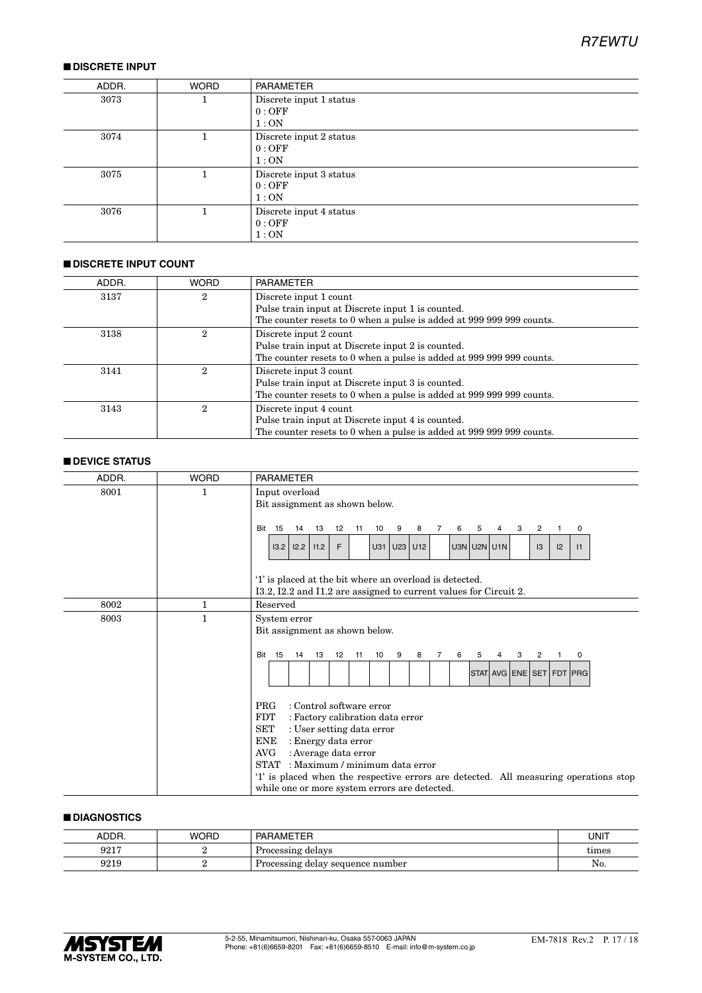#### ■ **DISCRETE INPUT**

| ADDR. | <b>WORD</b> | PARAMETER                                |
|-------|-------------|------------------------------------------|
| 3073  |             | Discrete input 1 status<br>0:OFF<br>1:ON |
| 3074  |             | Discrete input 2 status<br>0:OFF<br>1:ON |
| 3075  |             | Discrete input 3 status<br>0:OFF<br>1:ON |
| 3076  |             | Discrete input 4 status<br>0:OFF<br>1:ON |

#### ■ **DISCRETE INPUT COUNT**

| ADDR. | <b>WORD</b>    | <b>PARAMETER</b>                                                     |
|-------|----------------|----------------------------------------------------------------------|
| 3137  | 2              | Discrete input 1 count                                               |
|       |                | Pulse train input at Discrete input 1 is counted.                    |
|       |                | The counter resets to 0 when a pulse is added at 999 999 999 counts. |
| 3138  | $\overline{2}$ | Discrete input 2 count                                               |
|       |                | Pulse train input at Discrete input 2 is counted.                    |
|       |                | The counter resets to 0 when a pulse is added at 999 999 999 counts. |
| 3141  | 2              | Discrete input 3 count                                               |
|       |                | Pulse train input at Discrete input 3 is counted.                    |
|       |                | The counter resets to 0 when a pulse is added at 999 999 999 counts. |
| 3143  | 2              | Discrete input 4 count                                               |
|       |                | Pulse train input at Discrete input 4 is counted.                    |
|       |                | The counter resets to 0 when a pulse is added at 999 999 999 counts. |

#### ■ **DEVICE STATUS**

| ADDR. | <b>WORD</b>  | <b>PARAMETER</b>                                                                                                                                                                                                                                                                                                                                                                           |
|-------|--------------|--------------------------------------------------------------------------------------------------------------------------------------------------------------------------------------------------------------------------------------------------------------------------------------------------------------------------------------------------------------------------------------------|
| 8001  | 1            | Input overload<br>Bit assignment as shown below.                                                                                                                                                                                                                                                                                                                                           |
|       |              | Bit<br>15<br>14<br>13<br>12<br>10<br>8<br>3<br>$\overline{2}$<br>11<br>9<br>7<br>6<br>5<br>4<br>$\mathbf{1}$<br>0                                                                                                                                                                                                                                                                          |
|       |              | $U3N$ U2N U1N<br>12.2<br>11.2<br>F<br>U31 U23 U12<br>12<br>13.2<br>13<br> 1                                                                                                                                                                                                                                                                                                                |
|       |              | '1' is placed at the bit where an overload is detected.<br>I3.2, I2.2 and I1.2 are assigned to current values for Circuit 2.                                                                                                                                                                                                                                                               |
| 8002  | 1            | Reserved                                                                                                                                                                                                                                                                                                                                                                                   |
| 8003  | $\mathbf{1}$ | System error<br>Bit assignment as shown below.                                                                                                                                                                                                                                                                                                                                             |
|       |              | <b>Bit 15</b><br>14<br>13<br>12<br>11<br>10<br>9<br>8<br>6<br>3<br>2<br>$\overline{7}$<br>5<br>4<br>$\mathbf 1$<br>0<br>STAT AVG ENE SET FDT PRG                                                                                                                                                                                                                                           |
|       |              | : Control software error<br><b>PRG</b><br>FDT<br>: Factory calibration data error<br>$\operatorname{SET}$<br>: User setting data error<br><b>ENE</b><br>: Energy data error<br>AVG<br>: Average data error<br>STAT : Maximum / minimum data error<br>'1' is placed when the respective errors are detected. All measuring operations stop<br>while one or more system errors are detected. |

#### ■ **DIAGNOSTICS**

| ADDR. | <b>WORD</b> | <b>PARAMETER</b>                 | UNIT  |
|-------|-------------|----------------------------------|-------|
| 9217  |             | Processing delays                | times |
| 9219  |             | Processing delay sequence number | No.   |